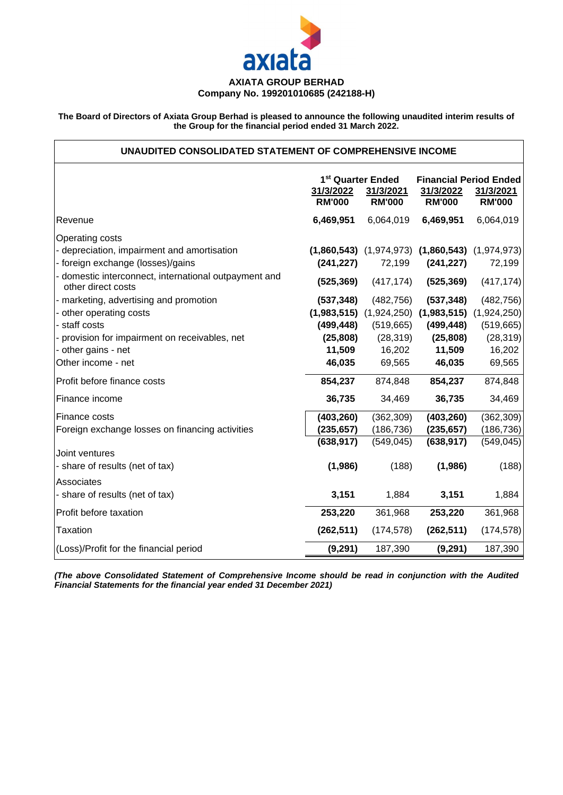

### **AXIATA GROUP BERHAD Company No. 199201010685 (242188-H)**

The Board of Directors of Axiata Group Berhad is pleased to announce the following unaudited interim results of **the Group for the financial period ended 31 March 2022.**

## **UNAUDITED CONSOLIDATED STATEMENT OF COMPREHENSIVE INCOME**

|                                                                           |               | 1 <sup>st</sup> Quarter Ended | <b>Financial Period Ended</b>                           |               |  |  |
|---------------------------------------------------------------------------|---------------|-------------------------------|---------------------------------------------------------|---------------|--|--|
|                                                                           | 31/3/2022     | 31/3/2021                     | 31/3/2022                                               | 31/3/2021     |  |  |
|                                                                           | <b>RM'000</b> | <b>RM'000</b>                 | <b>RM'000</b>                                           | <b>RM'000</b> |  |  |
| Revenue                                                                   | 6,469,951     | 6,064,019                     | 6,469,951                                               | 6,064,019     |  |  |
| Operating costs                                                           |               |                               |                                                         |               |  |  |
| - depreciation, impairment and amortisation                               |               |                               | $(1,860,543)$ $(1,974,973)$ $(1,860,543)$ $(1,974,973)$ |               |  |  |
| - foreign exchange (losses)/gains                                         | (241, 227)    | 72,199                        | (241, 227)                                              | 72,199        |  |  |
| domestic interconnect, international outpayment and<br>other direct costs | (525, 369)    | (417, 174)                    | (525, 369)                                              | (417, 174)    |  |  |
| - marketing, advertising and promotion                                    | (537, 348)    | (482, 756)                    | (537, 348)                                              | (482, 756)    |  |  |
| other operating costs                                                     |               |                               | $(1,983,515)$ $(1,924,250)$ $(1,983,515)$               | (1,924,250)   |  |  |
| - staff costs                                                             | (499, 448)    | (519, 665)                    | (499, 448)                                              | (519, 665)    |  |  |
| - provision for impairment on receivables, net                            | (25, 808)     | (28, 319)                     | (25, 808)                                               | (28, 319)     |  |  |
| - other gains - net                                                       | 11,509        | 16,202                        | 11,509                                                  | 16,202        |  |  |
| Other income - net                                                        | 46,035        | 69,565                        | 46,035                                                  | 69,565        |  |  |
| Profit before finance costs                                               | 854,237       | 874,848                       | 854,237                                                 | 874,848       |  |  |
| Finance income                                                            | 36,735        | 34,469                        | 36,735                                                  | 34,469        |  |  |
| Finance costs                                                             | (403, 260)    | (362, 309)                    | (403, 260)                                              | (362, 309)    |  |  |
| Foreign exchange losses on financing activities                           | (235, 657)    | (186, 736)                    | (235, 657)                                              | (186, 736)    |  |  |
|                                                                           | (638, 917)    | (549, 045)                    | (638, 917)                                              | (549, 045)    |  |  |
| Joint ventures                                                            |               |                               |                                                         |               |  |  |
| - share of results (net of tax)                                           | (1,986)       | (188)                         | (1,986)                                                 | (188)         |  |  |
| Associates                                                                |               |                               |                                                         |               |  |  |
| - share of results (net of tax)                                           | 3,151         | 1,884                         | 3,151                                                   | 1,884         |  |  |
| Profit before taxation                                                    | 253,220       | 361,968                       | 253,220                                                 | 361,968       |  |  |
| Taxation                                                                  | (262, 511)    | (174, 578)                    | (262, 511)                                              | (174, 578)    |  |  |
| (Loss)/Profit for the financial period                                    | (9, 291)      | 187,390                       | (9, 291)                                                | 187,390       |  |  |
|                                                                           |               |                               |                                                         |               |  |  |

*(The above Consolidated Statement of Comprehensive Income should be read in conjunction with the Audited Financial Statements for the financial year ended 31 December 2021)*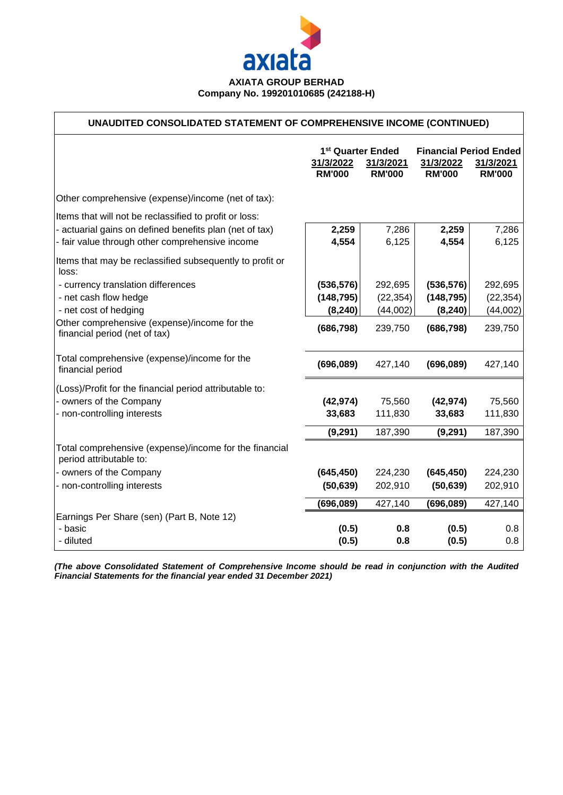

## **UNAUDITED CONSOLIDATED STATEMENT OF COMPREHENSIVE INCOME (CONTINUED)**

|                                                                                   | 1 <sup>st</sup> Quarter Ended<br>31/3/2022<br><b>RM'000</b> | 31/3/2021<br><b>RM'000</b> | <b>Financial Period Ended</b><br>31/3/2022<br><b>RM'000</b> | 31/3/2021<br><b>RM'000</b> |
|-----------------------------------------------------------------------------------|-------------------------------------------------------------|----------------------------|-------------------------------------------------------------|----------------------------|
| Other comprehensive (expense)/income (net of tax):                                |                                                             |                            |                                                             |                            |
| Items that will not be reclassified to profit or loss:                            |                                                             |                            |                                                             |                            |
| - actuarial gains on defined benefits plan (net of tax)                           | 2,259                                                       | 7,286                      | 2,259                                                       | 7,286                      |
| - fair value through other comprehensive income                                   | 4,554                                                       | 6,125                      | 4,554                                                       | 6,125                      |
| Items that may be reclassified subsequently to profit or<br>loss:                 |                                                             |                            |                                                             |                            |
| - currency translation differences                                                | (536, 576)                                                  | 292,695                    | (536, 576)                                                  | 292,695                    |
| - net cash flow hedge                                                             | (148, 795)                                                  | (22, 354)                  | (148, 795)                                                  | (22, 354)                  |
| - net cost of hedging                                                             | (8, 240)                                                    | (44,002)                   | (8, 240)                                                    | (44,002)                   |
| Other comprehensive (expense)/income for the<br>financial period (net of tax)     | (686, 798)                                                  | 239,750                    | (686, 798)                                                  | 239,750                    |
| Total comprehensive (expense)/income for the<br>financial period                  | (696,089)                                                   | 427,140                    | (696,089)                                                   | 427,140                    |
| (Loss)/Profit for the financial period attributable to:                           |                                                             |                            |                                                             |                            |
| - owners of the Company                                                           | (42, 974)                                                   | 75,560                     | (42, 974)                                                   | 75,560                     |
| - non-controlling interests                                                       | 33,683                                                      | 111,830                    | 33,683                                                      | 111,830                    |
|                                                                                   | (9, 291)                                                    | 187,390                    | (9, 291)                                                    | 187,390                    |
| Total comprehensive (expense)/income for the financial<br>period attributable to: |                                                             |                            |                                                             |                            |
| - owners of the Company                                                           | (645, 450)                                                  | 224,230                    | (645, 450)                                                  | 224,230                    |
| - non-controlling interests                                                       | (50, 639)                                                   | 202,910                    | (50, 639)                                                   | 202,910                    |
|                                                                                   | (696, 089)                                                  | 427,140                    | (696,089)                                                   | 427,140                    |
| Earnings Per Share (sen) (Part B, Note 12)                                        |                                                             |                            |                                                             |                            |
| - basic                                                                           | (0.5)                                                       | 0.8                        | (0.5)                                                       | 0.8                        |
| - diluted                                                                         | (0.5)                                                       | 0.8                        | (0.5)                                                       | 0.8                        |

*(The above Consolidated Statement of Comprehensive Income should be read in conjunction with the Audited Financial Statements for the financial year ended 31 December 2021)*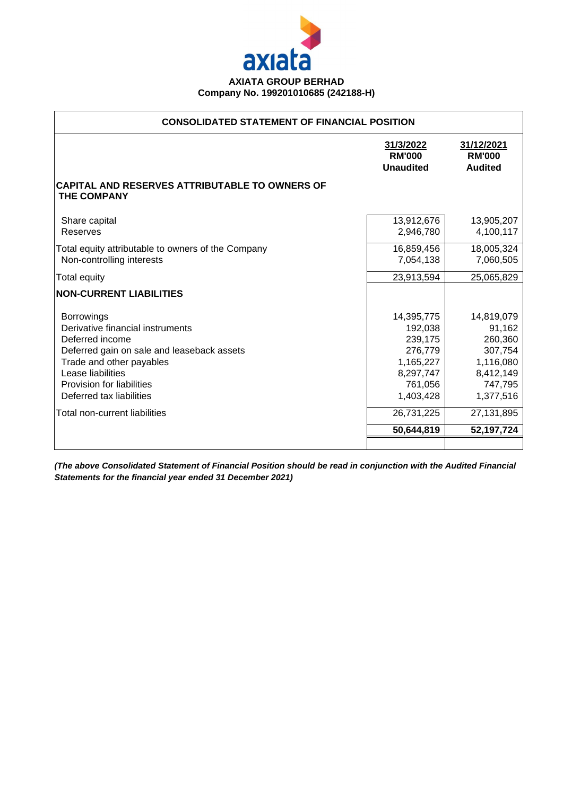

| <b>CONSOLIDATED STATEMENT OF FINANCIAL POSITION</b>                                                                                                                                                                              |                                                                                               |                                                                                              |  |  |  |  |  |
|----------------------------------------------------------------------------------------------------------------------------------------------------------------------------------------------------------------------------------|-----------------------------------------------------------------------------------------------|----------------------------------------------------------------------------------------------|--|--|--|--|--|
|                                                                                                                                                                                                                                  | 31/3/2022<br><b>RM'000</b><br><b>Unaudited</b>                                                | 31/12/2021<br><b>RM'000</b><br><b>Audited</b>                                                |  |  |  |  |  |
| CAPITAL AND RESERVES ATTRIBUTABLE TO OWNERS OF<br><b>THE COMPANY</b>                                                                                                                                                             |                                                                                               |                                                                                              |  |  |  |  |  |
| Share capital<br>Reserves                                                                                                                                                                                                        | 13,912,676<br>2,946,780                                                                       | 13,905,207<br>4,100,117                                                                      |  |  |  |  |  |
| Total equity attributable to owners of the Company<br>Non-controlling interests                                                                                                                                                  | 16,859,456<br>7,054,138                                                                       | 18,005,324<br>7,060,505                                                                      |  |  |  |  |  |
| <b>Total equity</b>                                                                                                                                                                                                              | 23,913,594                                                                                    | 25,065,829                                                                                   |  |  |  |  |  |
| <b>NON-CURRENT LIABILITIES</b>                                                                                                                                                                                                   |                                                                                               |                                                                                              |  |  |  |  |  |
| <b>Borrowings</b><br>Derivative financial instruments<br>Deferred income<br>Deferred gain on sale and leaseback assets<br>Trade and other payables<br>Lease liabilities<br>Provision for liabilities<br>Deferred tax liabilities | 14,395,775<br>192,038<br>239,175<br>276,779<br>1,165,227<br>8,297,747<br>761,056<br>1,403,428 | 14,819,079<br>91,162<br>260,360<br>307,754<br>1,116,080<br>8,412,149<br>747,795<br>1,377,516 |  |  |  |  |  |
| Total non-current liabilities                                                                                                                                                                                                    | 26,731,225                                                                                    | 27,131,895                                                                                   |  |  |  |  |  |
|                                                                                                                                                                                                                                  | 50,644,819                                                                                    | 52,197,724                                                                                   |  |  |  |  |  |
|                                                                                                                                                                                                                                  |                                                                                               |                                                                                              |  |  |  |  |  |

*(The above Consolidated Statement of Financial Position should be read in conjunction with the Audited Financial Statements for the financial year ended 31 December 2021)*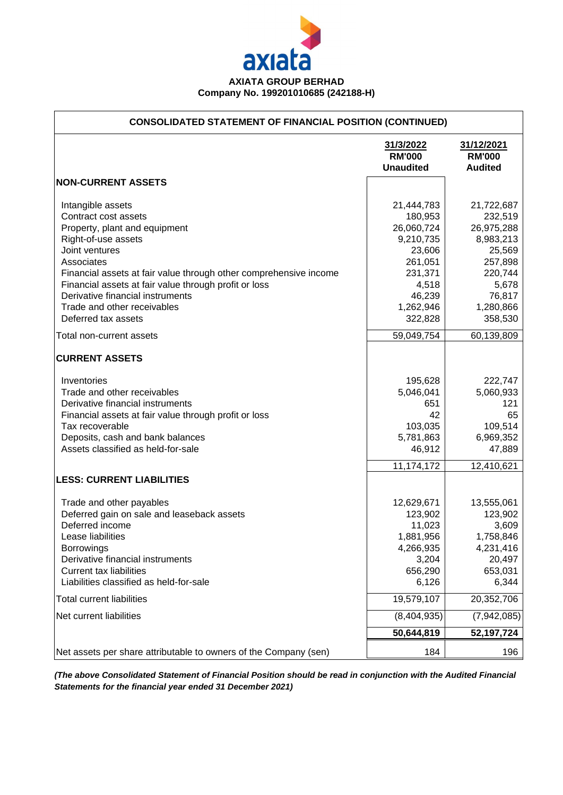

┑

 $\overline{1}$ 

| <b>CONSOLIDATED STATEMENT OF FINANCIAL POSITION (CONTINUED)</b>   |                                                |                                               |
|-------------------------------------------------------------------|------------------------------------------------|-----------------------------------------------|
|                                                                   | 31/3/2022<br><b>RM'000</b><br><b>Unaudited</b> | 31/12/2021<br><b>RM'000</b><br><b>Audited</b> |
| <b>NON-CURRENT ASSETS</b>                                         |                                                |                                               |
| Intangible assets                                                 | 21,444,783                                     | 21,722,687                                    |
| Contract cost assets                                              | 180,953                                        | 232,519                                       |
| Property, plant and equipment                                     | 26,060,724                                     | 26,975,288                                    |
| Right-of-use assets                                               | 9,210,735                                      | 8,983,213                                     |
| Joint ventures                                                    | 23,606                                         | 25,569                                        |
| Associates                                                        | 261,051                                        | 257,898                                       |
| Financial assets at fair value through other comprehensive income | 231,371                                        | 220,744                                       |
| Financial assets at fair value through profit or loss             | 4,518                                          | 5,678                                         |
| Derivative financial instruments                                  | 46,239                                         | 76,817                                        |
| Trade and other receivables                                       | 1,262,946                                      | 1,280,866                                     |
| Deferred tax assets                                               | 322,828                                        | 358,530                                       |
| Total non-current assets                                          | 59,049,754                                     | 60,139,809                                    |
| <b>CURRENT ASSETS</b>                                             |                                                |                                               |
| Inventories                                                       | 195,628                                        | 222,747                                       |
| Trade and other receivables                                       | 5,046,041                                      | 5,060,933                                     |
| Derivative financial instruments                                  | 651                                            | 121                                           |
| Financial assets at fair value through profit or loss             | 42                                             | 65                                            |
| Tax recoverable                                                   | 103,035                                        | 109,514                                       |
| Deposits, cash and bank balances                                  | 5,781,863                                      | 6,969,352                                     |
| Assets classified as held-for-sale                                | 46,912                                         | 47,889                                        |
|                                                                   | 11,174,172                                     | 12,410,621                                    |
| <b>LESS: CURRENT LIABILITIES</b>                                  |                                                |                                               |
| Trade and other payables                                          | 12,629,671                                     | 13,555,061                                    |
| Deferred gain on sale and leaseback assets                        | 123,902                                        | 123,902                                       |
| Deferred income                                                   | 11,023                                         | 3,609                                         |
| Lease liabilities                                                 | 1,881,956                                      | 1,758,846                                     |
| <b>Borrowings</b>                                                 | 4,266,935                                      | 4,231,416                                     |
| Derivative financial instruments                                  | 3,204                                          | 20,497                                        |
| <b>Current tax liabilities</b>                                    | 656,290                                        | 653,031                                       |
| Liabilities classified as held-for-sale                           | 6,126                                          | 6,344                                         |
| <b>Total current liabilities</b>                                  | 19,579,107                                     | 20,352,706                                    |
| Net current liabilities                                           | (8,404,935)                                    | (7,942,085)                                   |
|                                                                   | 50,644,819                                     | 52,197,724                                    |
| Net assets per share attributable to owners of the Company (sen)  | 184                                            | 196                                           |

*(The above Consolidated Statement of Financial Position should be read in conjunction with the Audited Financial Statements for the financial year ended 31 December 2021)*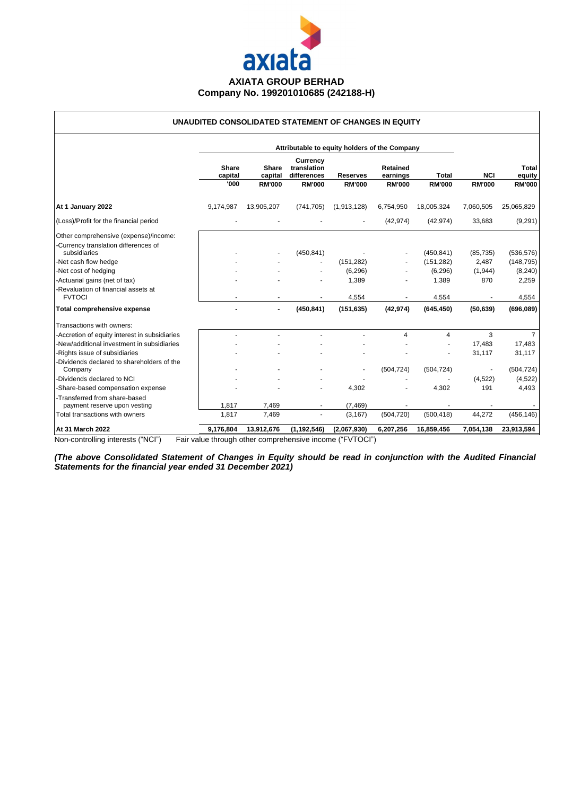

#### **UNAUDITED CONSOLIDATED STATEMENT OF CHANGES IN EQUITY**

|                                                                               | Attributable to equity holders of the Company |                         |                                               |                 |                             |               |               |                        |
|-------------------------------------------------------------------------------|-----------------------------------------------|-------------------------|-----------------------------------------------|-----------------|-----------------------------|---------------|---------------|------------------------|
|                                                                               | Share<br>capital                              | <b>Share</b><br>capital | <b>Currency</b><br>translation<br>differences | <b>Reserves</b> | <b>Retained</b><br>earnings | <b>Total</b>  | <b>NCI</b>    | <b>Total</b><br>equity |
|                                                                               | '000                                          | <b>RM'000</b>           | <b>RM'000</b>                                 | <b>RM'000</b>   | <b>RM'000</b>               | <b>RM'000</b> | <b>RM'000</b> | <b>RM'000</b>          |
| At 1 January 2022                                                             | 9,174,987                                     | 13,905,207              | (741, 705)                                    | (1,913,128)     | 6,754,950                   | 18,005,324    | 7,060,505     | 25,065,829             |
| (Loss)/Profit for the financial period                                        |                                               |                         |                                               |                 | (42, 974)                   | (42, 974)     | 33,683        | (9,291)                |
| Other comprehensive (expense)/income:<br>-Currency translation differences of |                                               |                         |                                               |                 |                             |               |               |                        |
| subsidiaries                                                                  |                                               |                         | (450, 841)                                    |                 |                             | (450, 841)    | (85, 735)     | (536, 576)             |
| -Net cash flow hedge                                                          |                                               |                         |                                               | (151, 282)      |                             | (151, 282)    | 2,487         | (148, 795)             |
| -Net cost of hedging                                                          |                                               |                         |                                               | (6, 296)        |                             | (6, 296)      | (1, 944)      | (8, 240)               |
| -Actuarial gains (net of tax)                                                 |                                               |                         |                                               | 1,389           |                             | 1,389         | 870           | 2,259                  |
| -Revaluation of financial assets at<br><b>FVTOCI</b>                          |                                               |                         |                                               | 4,554           |                             | 4,554         |               | 4,554                  |
| Total comprehensive expense                                                   |                                               |                         | (450, 841)                                    | (151, 635)      | (42, 974)                   | (645, 450)    | (50, 639)     | (696,089)              |
| Transactions with owners:                                                     |                                               |                         |                                               |                 |                             |               |               |                        |
| -Accretion of equity interest in subsidiaries                                 |                                               |                         |                                               |                 | 4                           | 4             | 3             | $\overline{7}$         |
| -New/additional investment in subsidiaries                                    |                                               |                         |                                               |                 |                             |               | 17,483        | 17,483                 |
| -Rights issue of subsidiaries                                                 |                                               |                         |                                               |                 |                             |               | 31,117        | 31,117                 |
| -Dividends declared to shareholders of the<br>Company                         |                                               |                         |                                               |                 | (504, 724)                  | (504, 724)    |               | (504, 724)             |
| -Dividends declared to NCI                                                    |                                               |                         |                                               |                 |                             |               | (4, 522)      | (4, 522)               |
| -Share-based compensation expense                                             |                                               |                         |                                               | 4,302           |                             | 4,302         | 191           | 4,493                  |
| -Transferred from share-based<br>payment reserve upon vesting                 | 1.817                                         | 7.469                   | $\overline{\phantom{a}}$                      | (7, 469)        |                             |               |               |                        |
| Total transactions with owners                                                | 1,817                                         | 7,469                   | ٠                                             | (3, 167)        | (504, 720)                  | (500, 418)    | 44,272        | (456, 146)             |
| At 31 March 2022                                                              | 9,176,804                                     | 13,912,676              | (1, 192, 546)                                 | (2,067,930)     | 6,207,256                   | 16,859,456    | 7,054,138     | 23,913,594             |

Non-controlling interests ("NCI") Fair value through other comprehensive income ("FVTOCI")

(The above Consolidated Statement of Changes in Equity should be read in conjunction with the Audited Financial *Statements for the financial year ended 31 December 2021)*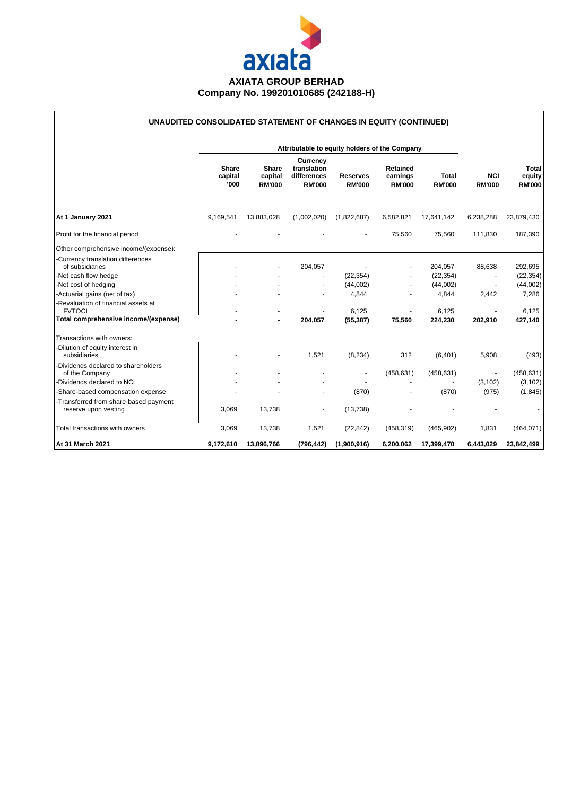

## **UNAUDITED CONSOLIDATED STATEMENT OF CHANGES IN EQUITY (CONTINUED)**

|                                                               |                          |                                   |                                                         | Attributable to equity holders of the Company |                                              |                               |                             |                                         |
|---------------------------------------------------------------|--------------------------|-----------------------------------|---------------------------------------------------------|-----------------------------------------------|----------------------------------------------|-------------------------------|-----------------------------|-----------------------------------------|
|                                                               | Share<br>capital<br>'000 | Share<br>capital<br><b>RM'000</b> | Currency<br>translation<br>differences<br><b>RM'000</b> | <b>Reserves</b><br><b>RM'000</b>              | <b>Retained</b><br>earnings<br><b>RM'000</b> | <b>Total</b><br><b>RM'000</b> | <b>NCI</b><br><b>RM'000</b> | <b>Total</b><br>equity<br><b>RM'000</b> |
| At 1 January 2021                                             | 9,169,541                | 13,883,028                        | (1,002,020)                                             | (1,822,687)                                   | 6,582,821                                    | 17,641,142                    | 6,238,288                   | 23,879,430                              |
| Profit for the financial period                               |                          |                                   |                                                         |                                               | 75,560                                       | 75,560                        | 111,830                     | 187,390                                 |
| Other comprehensive income/(expense):                         |                          |                                   |                                                         |                                               |                                              |                               |                             |                                         |
| -Currency translation differences<br>of subsidiaries          |                          |                                   | 204,057                                                 |                                               |                                              | 204,057                       | 88,638                      | 292,695                                 |
| -Net cash flow hedge                                          |                          |                                   |                                                         | (22, 354)                                     |                                              | (22, 354)                     |                             | (22, 354)                               |
| -Net cost of hedging                                          |                          |                                   |                                                         | (44,002)                                      |                                              | (44,002)                      |                             | (44,002)                                |
| -Actuarial gains (net of tax)                                 |                          |                                   |                                                         | 4,844                                         |                                              | 4,844                         | 2,442                       | 7,286                                   |
| -Revaluation of financial assets at<br><b>FVTOCI</b>          |                          |                                   |                                                         | 6,125                                         |                                              | 6,125                         |                             | 6,125                                   |
| Total comprehensive income/(expense)                          |                          | $\blacksquare$                    | 204,057                                                 | (55, 387)                                     | 75,560                                       | 224,230                       | 202,910                     | 427,140                                 |
| Transactions with owners:                                     |                          |                                   |                                                         |                                               |                                              |                               |                             |                                         |
| -Dilution of equity interest in<br>subsidiaries               |                          |                                   | 1,521                                                   | (8, 234)                                      | 312                                          | (6, 401)                      | 5,908                       | (493)                                   |
| -Dividends declared to shareholders<br>of the Company         |                          |                                   |                                                         |                                               | (458, 631)                                   | (458, 631)                    |                             | (458, 631)                              |
| -Dividends declared to NCI                                    |                          |                                   |                                                         |                                               |                                              |                               | (3, 102)                    | (3, 102)                                |
| -Share-based compensation expense                             |                          |                                   |                                                         | (870)                                         |                                              | (870)                         | (975)                       | (1, 845)                                |
| -Transferred from share-based payment<br>reserve upon vesting | 3,069                    | 13,738                            |                                                         | (13, 738)                                     |                                              |                               |                             |                                         |
| Total transactions with owners                                | 3,069                    | 13,738                            | 1,521                                                   | (22, 842)                                     | (458, 319)                                   | (465, 902)                    | 1,831                       | (464, 071)                              |
| At 31 March 2021                                              | 9,172,610                | 13,896,766                        | (796, 442)                                              | (1,900,916)                                   | 6,200,062                                    | 17,399,470                    | 6,443,029                   | 23,842,499                              |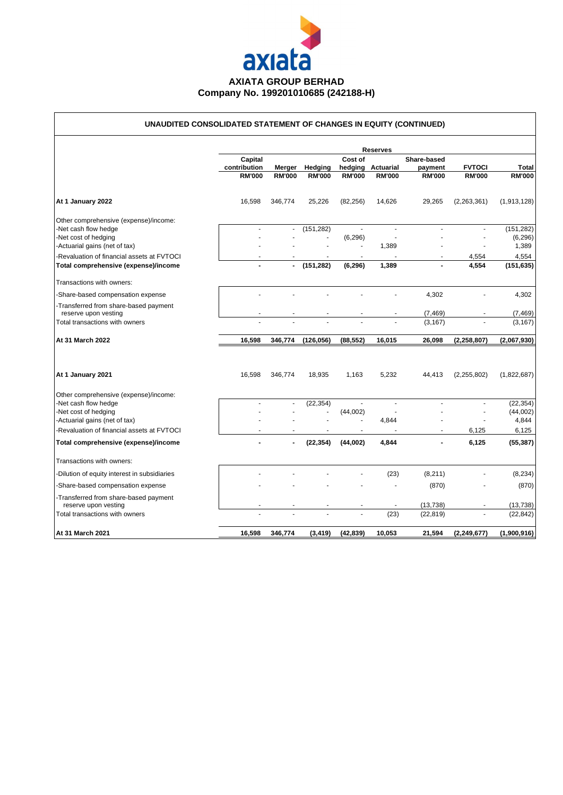

# **UNAUDITED CONSOLIDATED STATEMENT OF CHANGES IN EQUITY (CONTINUED)**

|                                                                             |                                          |                         |                          | Cost of       | <b>Reserves</b>                    | Share-based              |                                |                        |
|-----------------------------------------------------------------------------|------------------------------------------|-------------------------|--------------------------|---------------|------------------------------------|--------------------------|--------------------------------|------------------------|
|                                                                             | Capital<br>contribution<br><b>RM'000</b> | Merger<br><b>RM'000</b> | Hedging<br><b>RM'000</b> | <b>RM'000</b> | hedging Actuarial<br><b>RM'000</b> | payment<br><b>RM'000</b> | <b>FVTOCI</b><br><b>RM'000</b> | Total<br><b>RM'000</b> |
|                                                                             |                                          |                         |                          |               |                                    |                          |                                |                        |
| At 1 January 2022                                                           | 16,598                                   | 346,774                 | 25,226                   | (82, 256)     | 14,626                             | 29,265                   | (2,263,361)                    | (1,913,128)            |
| Other comprehensive (expense)/income:                                       |                                          |                         |                          |               |                                    |                          |                                |                        |
| -Net cash flow hedge                                                        |                                          | $\blacksquare$          | (151, 282)               |               |                                    |                          |                                | (151, 282)             |
| -Net cost of hedging                                                        |                                          |                         |                          | (6, 296)      | ä,                                 |                          |                                | (6, 296)<br>1,389      |
| -Actuarial gains (net of tax)<br>-Revaluation of financial assets at FVTOCI |                                          |                         |                          |               | 1,389                              |                          |                                |                        |
| Total comprehensive (expense)/income                                        | $\blacksquare$                           | $\blacksquare$          | (151, 282)               | (6, 296)      | 1,389                              |                          | 4,554<br>4,554                 | 4,554<br>(151, 635)    |
| Transactions with owners:                                                   |                                          |                         |                          |               |                                    |                          |                                |                        |
| -Share-based compensation expense                                           |                                          |                         |                          |               |                                    | 4,302                    |                                | 4,302                  |
| -Transferred from share-based payment<br>reserve upon vesting               |                                          |                         |                          |               |                                    | (7, 469)                 |                                | (7, 469)               |
| Total transactions with owners                                              |                                          |                         |                          |               |                                    | (3, 167)                 |                                | (3, 167)               |
| At 31 March 2022                                                            | 16,598                                   | 346,774                 | (126, 056)               | (88, 552)     | 16,015                             | 26,098                   | (2, 258, 807)                  | (2,067,930)            |
| At 1 January 2021                                                           | 16.598                                   | 346.774                 | 18.935                   | 1.163         | 5.232                              | 44.413                   | (2, 255, 802)                  | (1,822,687)            |
| Other comprehensive (expense)/income:                                       |                                          |                         |                          |               |                                    |                          |                                |                        |
| -Net cash flow hedge<br>-Net cost of hedging                                |                                          | ä,                      | (22, 354)                | (44,002)      | ä,                                 |                          |                                | (22, 354)<br>(44,002)  |
| -Actuarial gains (net of tax)                                               |                                          |                         |                          |               | 4,844                              |                          |                                | 4,844                  |
| -Revaluation of financial assets at FVTOCI                                  |                                          |                         |                          | $\sim$        | $\ddot{\phantom{1}}$               | ٠                        | 6,125                          | 6,125                  |
| Total comprehensive (expense)/income                                        |                                          |                         | (22, 354)                | (44,002)      | 4,844                              | $\blacksquare$           | 6,125                          | (55, 387)              |
| Transactions with owners:                                                   |                                          |                         |                          |               |                                    |                          |                                |                        |
| -Dilution of equity interest in subsidiaries                                |                                          |                         |                          |               | (23)                               | (8, 211)                 |                                | (8, 234)               |
| -Share-based compensation expense                                           |                                          |                         |                          |               |                                    | (870)                    |                                | (870)                  |
| -Transferred from share-based payment<br>reserve upon vesting               |                                          |                         |                          |               |                                    | (13, 738)                |                                | (13, 738)              |
| Total transactions with owners                                              |                                          |                         |                          |               | (23)                               | (22, 819)                |                                | (22, 842)              |
| At 31 March 2021                                                            | 16,598                                   |                         |                          |               |                                    |                          |                                |                        |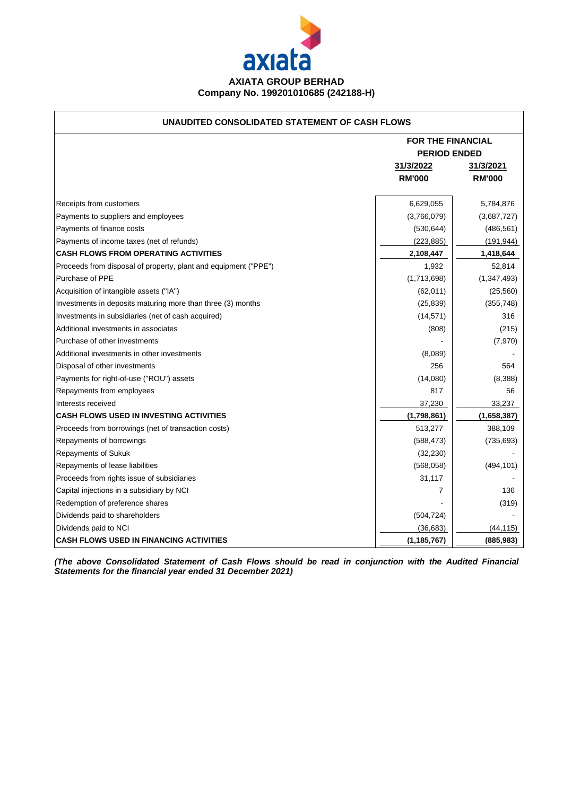

#### **UNAUDITED CONSOLIDATED STATEMENT OF CASH FLOWS**

|                                                                 | <b>FOR THE FINANCIAL</b> |               |
|-----------------------------------------------------------------|--------------------------|---------------|
|                                                                 | <b>PERIOD ENDED</b>      |               |
|                                                                 | 31/3/2022                | 31/3/2021     |
|                                                                 | <b>RM'000</b>            | <b>RM'000</b> |
|                                                                 |                          |               |
| Receipts from customers                                         | 6,629,055                | 5,784,876     |
| Payments to suppliers and employees                             | (3,766,079)              | (3,687,727)   |
| Payments of finance costs                                       | (530, 644)               | (486, 561)    |
| Payments of income taxes (net of refunds)                       | (223, 885)               | (191, 944)    |
| <b>CASH FLOWS FROM OPERATING ACTIVITIES</b>                     | 2,108,447                | 1,418,644     |
| Proceeds from disposal of property, plant and equipment ("PPE") | 1,932                    | 52,814        |
| Purchase of PPE                                                 | (1,713,698)              | (1, 347, 493) |
| Acquisition of intangible assets ("IA")                         | (62,011)                 | (25, 560)     |
| Investments in deposits maturing more than three (3) months     | (25, 839)                | (355, 748)    |
| Investments in subsidiaries (net of cash acquired)              | (14, 571)                | 316           |
| Additional investments in associates                            | (808)                    | (215)         |
| Purchase of other investments                                   |                          | (7,970)       |
| Additional investments in other investments                     | (8,089)                  |               |
| Disposal of other investments                                   | 256                      | 564           |
| Payments for right-of-use ("ROU") assets                        | (14,080)                 | (8,388)       |
| Repayments from employees                                       | 817                      | 56            |
| Interests received                                              | 37,230                   | 33,237        |
| <b>CASH FLOWS USED IN INVESTING ACTIVITIES</b>                  | (1,798,861)              | (1,658,387)   |
| Proceeds from borrowings (net of transaction costs)             | 513,277                  | 388,109       |
| Repayments of borrowings                                        | (588, 473)               | (735, 693)    |
| <b>Repayments of Sukuk</b>                                      | (32, 230)                |               |
| Repayments of lease liabilities                                 | (568,058)                | (494, 101)    |
| Proceeds from rights issue of subsidiaries                      | 31,117                   |               |
| Capital injections in a subsidiary by NCI                       | 7                        | 136           |
| Redemption of preference shares                                 |                          | (319)         |
| Dividends paid to shareholders                                  | (504, 724)               |               |
| Dividends paid to NCI                                           | (36,683)                 | (44, 115)     |
| <b>CASH FLOWS USED IN FINANCING ACTIVITIES</b>                  | (1, 185, 767)            | (885, 983)    |

*(The above Consolidated Statement of Cash Flows should be read in conjunction with the Audited Financial Statements for the financial year ended 31 December 2021)*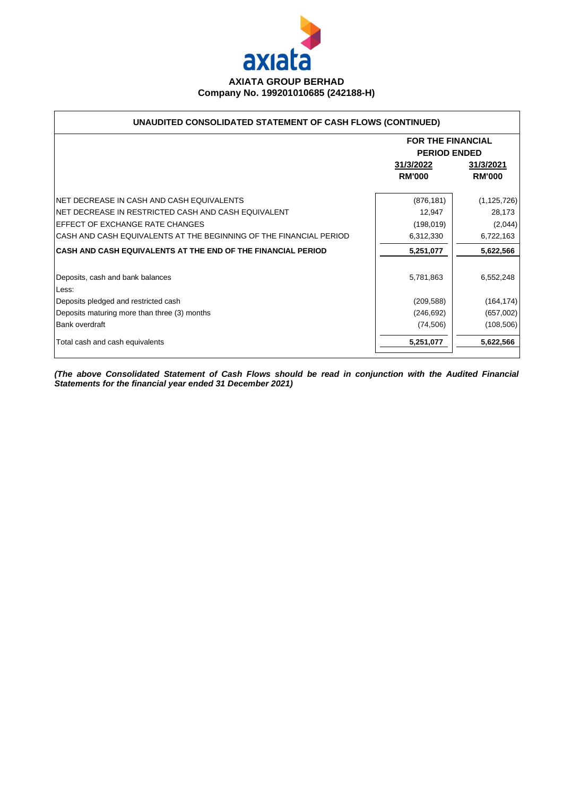

### **UNAUDITED CONSOLIDATED STATEMENT OF CASH FLOWS (CONTINUED)**

|                                                                    | <b>FOR THE FINANCIAL</b><br><b>PERIOD ENDED</b> |               |  |  |
|--------------------------------------------------------------------|-------------------------------------------------|---------------|--|--|
|                                                                    | 31/3/2022<br>31/3/2021                          |               |  |  |
|                                                                    | <b>RM'000</b>                                   | <b>RM'000</b> |  |  |
| INET DECREASE IN CASH AND CASH EQUIVALENTS                         | (876, 181)                                      | (1, 125, 726) |  |  |
| INET DECREASE IN RESTRICTED CASH AND CASH EQUIVALENT               | 12,947                                          | 28,173        |  |  |
| EFFECT OF EXCHANGE RATE CHANGES                                    | (198, 019)                                      | (2,044)       |  |  |
| CASH AND CASH EQUIVALENTS AT THE BEGINNING OF THE FINANCIAL PERIOD | 6,312,330                                       | 6,722,163     |  |  |
| CASH AND CASH EQUIVALENTS AT THE END OF THE FINANCIAL PERIOD       | 5,251,077                                       | 5,622,566     |  |  |
| Deposits, cash and bank balances<br>Less:                          | 5,781,863                                       | 6,552,248     |  |  |
| Deposits pledged and restricted cash                               | (209, 588)                                      | (164, 174)    |  |  |
| Deposits maturing more than three (3) months                       | (246, 692)                                      | (657,002)     |  |  |
| Bank overdraft                                                     | (74, 506)                                       | (108, 506)    |  |  |
| Total cash and cash equivalents                                    | 5,251,077                                       | 5,622,566     |  |  |

*(The above Consolidated Statement of Cash Flows should be read in conjunction with the Audited Financial Statements for the financial year ended 31 December 2021)*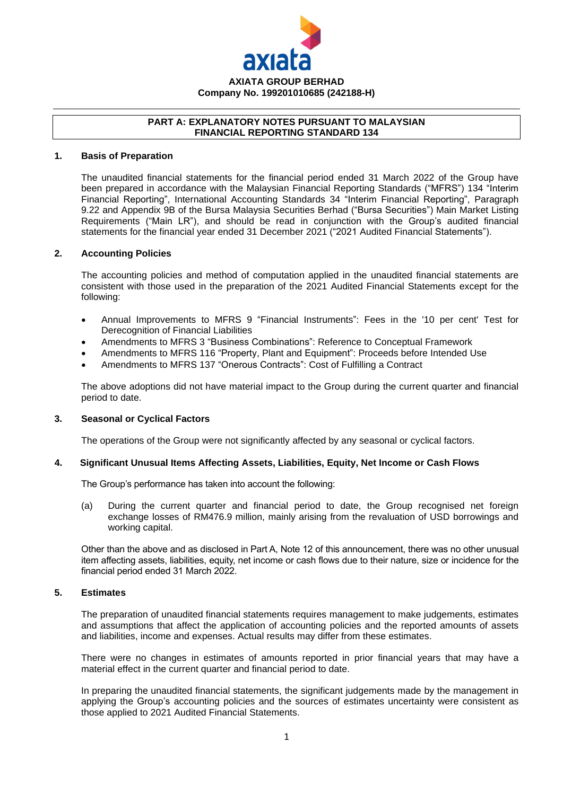

#### **PART A: EXPLANATORY NOTES PURSUANT TO MALAYSIAN FINANCIAL REPORTING STANDARD 134**

#### **1. Basis of Preparation**

The unaudited financial statements for the financial period ended 31 March 2022 of the Group have been prepared in accordance with the Malaysian Financial Reporting Standards ("MFRS") 134 "Interim Financial Reporting", International Accounting Standards 34 "Interim Financial Reporting", Paragraph 9.22 and Appendix 9B of the Bursa Malaysia Securities Berhad ("Bursa Securities") Main Market Listing Requirements ("Main LR"), and should be read in conjunction with the Group's audited financial statements for the financial year ended 31 December 2021 ("2021 Audited Financial Statements").

#### **2. Accounting Policies**

The accounting policies and method of computation applied in the unaudited financial statements are consistent with those used in the preparation of the 2021 Audited Financial Statements except for the following:

- Annual Improvements to MFRS 9 "Financial Instruments": Fees in the '10 per cent' Test for Derecognition of Financial Liabilities
- Amendments to MFRS 3 "Business Combinations": Reference to Conceptual Framework
- Amendments to MFRS 116 "Property, Plant and Equipment": Proceeds before Intended Use
- Amendments to MFRS 137 "Onerous Contracts": Cost of Fulfilling a Contract

The above adoptions did not have material impact to the Group during the current quarter and financial period to date.

#### **3. Seasonal or Cyclical Factors**

The operations of the Group were not significantly affected by any seasonal or cyclical factors.

#### **4. Significant Unusual Items Affecting Assets, Liabilities, Equity, Net Income or Cash Flows**

The Group's performance has taken into account the following:

(a) During the current quarter and financial period to date, the Group recognised net foreign exchange losses of RM476.9 million, mainly arising from the revaluation of USD borrowings and working capital.

Other than the above and as disclosed in Part A, Note 12 of this announcement, there was no other unusual item affecting assets, liabilities, equity, net income or cash flows due to their nature, size or incidence for the financial period ended 31 March 2022.

#### **5. Estimates**

The preparation of unaudited financial statements requires management to make judgements, estimates and assumptions that affect the application of accounting policies and the reported amounts of assets and liabilities, income and expenses. Actual results may differ from these estimates.

There were no changes in estimates of amounts reported in prior financial years that may have a material effect in the current quarter and financial period to date.

In preparing the unaudited financial statements, the significant judgements made by the management in applying the Group's accounting policies and the sources of estimates uncertainty were consistent as those applied to 2021 Audited Financial Statements.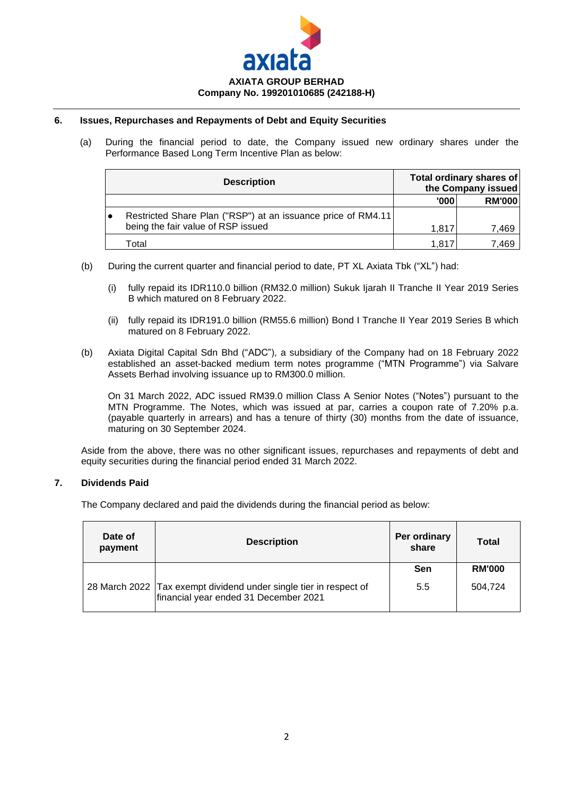

## **6. Issues, Repurchases and Repayments of Debt and Equity Securities**

(a) During the financial period to date, the Company issued new ordinary shares under the Performance Based Long Term Incentive Plan as below:

| <b>Description</b>                                           |        | Total ordinary shares of<br>the Company issued |
|--------------------------------------------------------------|--------|------------------------------------------------|
|                                                              | '000'  | <b>RM'000</b>                                  |
| Restricted Share Plan ("RSP") at an issuance price of RM4.11 |        |                                                |
| being the fair value of RSP issued                           | 1.817  | 7.469                                          |
| Total                                                        | 1.817. | 7.469                                          |

- (b) During the current quarter and financial period to date, PT XL Axiata Tbk ("XL") had:
	- (i) fully repaid its IDR110.0 billion (RM32.0 million) Sukuk Ijarah II Tranche II Year 2019 Series B which matured on 8 February 2022.
	- (ii) fully repaid its IDR191.0 billion (RM55.6 million) Bond I Tranche II Year 2019 Series B which matured on 8 February 2022.
- (b) Axiata Digital Capital Sdn Bhd ("ADC"), a subsidiary of the Company had on 18 February 2022 established an asset-backed medium term notes programme ("MTN Programme") via Salvare Assets Berhad involving issuance up to RM300.0 million.

On 31 March 2022, ADC issued RM39.0 million Class A Senior Notes ("Notes") pursuant to the MTN Programme. The Notes, which was issued at par, carries a coupon rate of 7.20% p.a. (payable quarterly in arrears) and has a tenure of thirty (30) months from the date of issuance, maturing on 30 September 2024.

Aside from the above, there was no other significant issues, repurchases and repayments of debt and equity securities during the financial period ended 31 March 2022.

#### **7. Dividends Paid**

The Company declared and paid the dividends during the financial period as below:

| Date of<br>payment | <b>Description</b>                                                                                         | Per ordinary<br>share | Total         |
|--------------------|------------------------------------------------------------------------------------------------------------|-----------------------|---------------|
|                    |                                                                                                            | Sen                   | <b>RM'000</b> |
|                    | 28 March 2022 Tax exempt dividend under single tier in respect of<br>financial year ended 31 December 2021 | 5.5                   | 504.724       |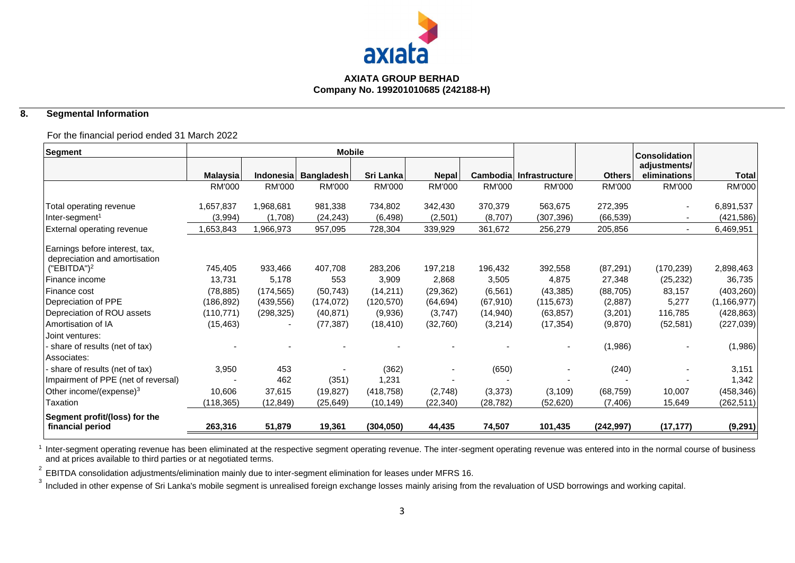

## **8. Segmental Information**

## For the financial period ended 31 March 2022

| Segment                                                         |               |               | <b>Mobile</b>     |               |               |               |                         |               | <b>Consolidation</b>         |               |
|-----------------------------------------------------------------|---------------|---------------|-------------------|---------------|---------------|---------------|-------------------------|---------------|------------------------------|---------------|
|                                                                 | Malaysia      | Indonesia     | <b>Bangladesh</b> | Sri Lanka     | <b>Nepal</b>  |               | Cambodia Infrastructure | <b>Others</b> | adjustments/<br>eliminations | <b>Total</b>  |
|                                                                 | <b>RM'000</b> | <b>RM'000</b> | <b>RM'000</b>     | <b>RM'000</b> | <b>RM'000</b> | <b>RM'000</b> | <b>RM'000</b>           | <b>RM'000</b> | RM'000                       | <b>RM'000</b> |
| Total operating revenue                                         | 1,657,837     | 1,968,681     | 981,338           | 734,802       | 342,430       | 370,379       | 563,675                 | 272,395       | $\overline{\phantom{a}}$     | 6,891,537     |
| Inter-segment <sup>1</sup>                                      | (3,994)       | (1,708)       | (24, 243)         | (6, 498)      | (2,501)       | (8,707)       | (307, 396)              | (66, 539)     |                              | (421, 586)    |
| External operating revenue                                      | ,653,843      | 1,966,973     | 957,095           | 728,304       | 339,929       | 361,672       | 256,279                 | 205,856       | $\overline{\phantom{a}}$     | 6,469,951     |
| Earnings before interest, tax,<br>depreciation and amortisation |               |               |                   |               |               |               |                         |               |                              |               |
| ("EBITDA") <sup>2</sup>                                         | 745,405       | 933,466       | 407,708           | 283,206       | 197,218       | 196,432       | 392,558                 | (87, 291)     | (170, 239)                   | 2,898,463     |
| Finance income                                                  | 13,731        | 5,178         | 553               | 3,909         | 2,868         | 3,505         | 4,875                   | 27,348        | (25, 232)                    | 36,735        |
| Finance cost                                                    | (78, 885)     | (174, 565)    | (50, 743)         | (14, 211)     | (29, 362)     | (6, 561)      | (43, 385)               | (88, 705)     | 83,157                       | (403, 260)    |
| Depreciation of PPE                                             | (186, 892)    | (439, 556)    | (174, 072)        | (120, 570)    | (64, 694)     | (67, 910)     | (115, 673)              | (2,887)       | 5,277                        | (1, 166, 977) |
| Depreciation of ROU assets                                      | (110, 771)    | (298, 325)    | (40, 871)         | (9,936)       | (3,747)       | (14, 940)     | (63, 857)               | (3,201)       | 116,785                      | (428, 863)    |
| Amortisation of IA                                              | (15, 463)     |               | (77, 387)         | (18, 410)     | (32,760)      | (3,214)       | (17, 354)               | (9,870)       | (52, 581)                    | (227, 039)    |
| Joint ventures:                                                 |               |               |                   |               |               |               |                         |               |                              |               |
| share of results (net of tax)                                   |               |               |                   |               |               |               |                         | (1,986)       |                              | (1,986)       |
| Associates:                                                     |               |               |                   |               |               |               |                         |               |                              |               |
| share of results (net of tax)                                   | 3,950         | 453           |                   | (362)         |               | (650)         |                         | (240)         |                              | 3,151         |
| Impairment of PPE (net of reversal)                             |               | 462           | (351)             | 1,231         |               |               |                         |               |                              | 1,342         |
| Other income/(expense) <sup>3</sup>                             | 10,606        | 37,615        | (19, 827)         | (418, 758)    | (2,748)       | (3,373)       | (3, 109)                | (68, 759)     | 10,007                       | (458, 346)    |
| Taxation                                                        | (118, 365)    | (12, 849)     | (25, 649)         | (10, 149)     | (22, 340)     | (28, 782)     | (52, 620)               | (7, 406)      | 15,649                       | (262, 511)    |
| Segment profit/(loss) for the<br>financial period               | 263,316       | 51,879        | 19,361            | (304, 050)    | 44,435        | 74,507        | 101,435                 | (242, 997)    | (17, 177)                    | (9, 291)      |

<sup>1</sup> Inter-segment operating revenue has been eliminated at the respective segment operating revenue operating revenue was entered into in the normal course of business and at prices available to third parties or at negotiated terms.

2 EBITDA consolidation adjustments/elimination mainly due to inter-segment elimination for leases under MFRS 16.

 $^3$  Included in other expense of Sri Lanka's mobile segment is unrealised foreign exchange losses mainly arising from the revaluation of USD borrowings and working capital.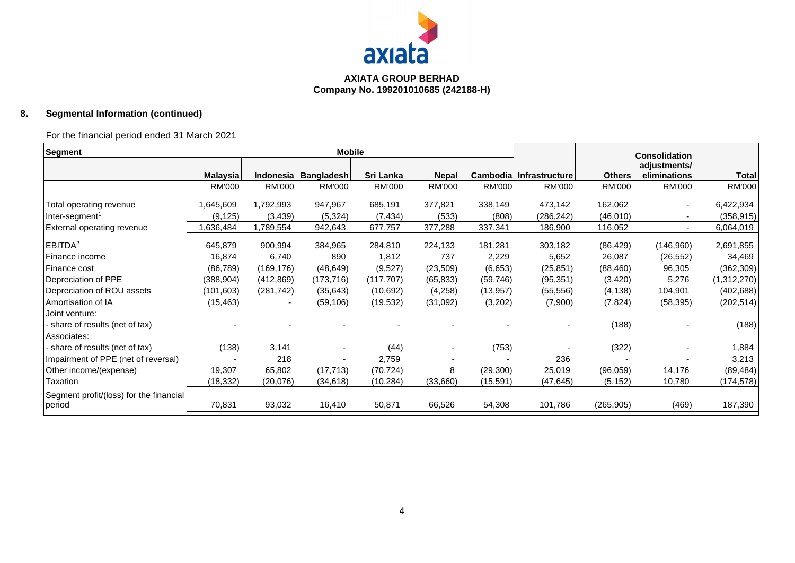

## **8. Segmental Information (continued)**

## For the financial period ended 31 March 2021

| Segment                                 |                 |                  | <b>Mobile</b>     |               |              |           |                         |               | <b>Consolidation</b> |              |
|-----------------------------------------|-----------------|------------------|-------------------|---------------|--------------|-----------|-------------------------|---------------|----------------------|--------------|
|                                         |                 |                  |                   |               |              |           |                         |               | adjustments/         |              |
|                                         | <b>Malaysia</b> | <b>Indonesia</b> | <b>Bangladesh</b> | Sri Lanka     | <b>Nepal</b> |           | Cambodia Infrastructure | <b>Others</b> | eliminations         | <b>Total</b> |
|                                         | <b>RM'000</b>   | <b>RM'000</b>    | <b>RM'000</b>     | <b>RM'000</b> | RM'000       | RM'000    | <b>RM'000</b>           | <b>RM'000</b> | <b>RM'000</b>        | RM'000       |
| Total operating revenue                 | 1,645,609       | 1,792,993        | 947,967           | 685,191       | 377,821      | 338,149   | 473,142                 | 162,062       | $\blacksquare$       | 6,422,934    |
| $Inter-segment1$                        | (9, 125)        | (3, 439)         | (5,324)           | (7, 434)      | (533)        | (808)     | (286, 242)              | (46,010)      |                      | (358, 915)   |
| External operating revenue              | ,636,484        | ,789,554         | 942,643           | 677,757       | 377,288      | 337,341   | 186,900                 | 116,052       | $\sim$               | 6,064,019    |
| EBITDA <sup>2</sup>                     | 645,879         | 900,994          | 384,965           | 284,810       | 224,133      | 181,281   | 303,182                 | (86, 429)     | (146,960)            | 2,691,855    |
| Finance income                          | 16,874          | 6,740            | 890               | 1,812         | 737          | 2,229     | 5,652                   | 26,087        | (26, 552)            | 34,469       |
| Finance cost                            | (86, 789)       | (169, 176)       | (48, 649)         | (9,527)       | (23, 509)    | (6,653)   | (25, 851)               | (88, 460)     | 96,305               | (362, 309)   |
| Depreciation of PPE                     | (388, 904)      | (412, 869)       | (173, 716)        | (117, 707)    | (65, 833)    | (59, 746) | (95, 351)               | (3, 420)      | 5,276                | (1,312,270)  |
| Depreciation of ROU assets              | (101, 603)      | (281, 742)       | (35, 643)         | (10,692)      | (4,258)      | (13, 957) | (55, 556)               | (4, 138)      | 104,901              | (402, 688)   |
| Amortisation of IA                      | (15, 463)       |                  | (59, 106)         | (19, 532)     | (31,092)     | (3,202)   | (7,900)                 | (7, 824)      | (58, 395)            | (202, 514)   |
| Joint venture:                          |                 |                  |                   |               |              |           |                         |               |                      |              |
| share of results (net of tax)           |                 |                  |                   |               |              |           |                         | (188)         |                      | (188)        |
| Associates:                             |                 |                  |                   |               |              |           |                         |               |                      |              |
| share of results (net of tax)           | (138)           | 3,141            |                   | (44)          |              | (753)     |                         | (322)         |                      | 1,884        |
| Impairment of PPE (net of reversal)     |                 | 218              |                   | 2,759         |              |           | 236                     |               |                      | 3,213        |
| Other income/(expense)                  | 19,307          | 65,802           | (17, 713)         | (70, 724)     | 8            | (29, 300) | 25,019                  | (96,059)      | 14,176               | (89, 484)    |
| Taxation                                | (18, 332)       | (20, 076)        | (34, 618)         | (10, 284)     | (33,660)     | (15, 591) | (47, 645)               | (5, 152)      | 10,780               | (174, 578)   |
| Segment profit/(loss) for the financial |                 |                  |                   |               |              |           |                         |               |                      |              |
| period                                  | 70,831          | 93,032           | 16,410            | 50,871        | 66,526       | 54,308    | 101,786                 | (265, 905)    | (469)                | 187,390      |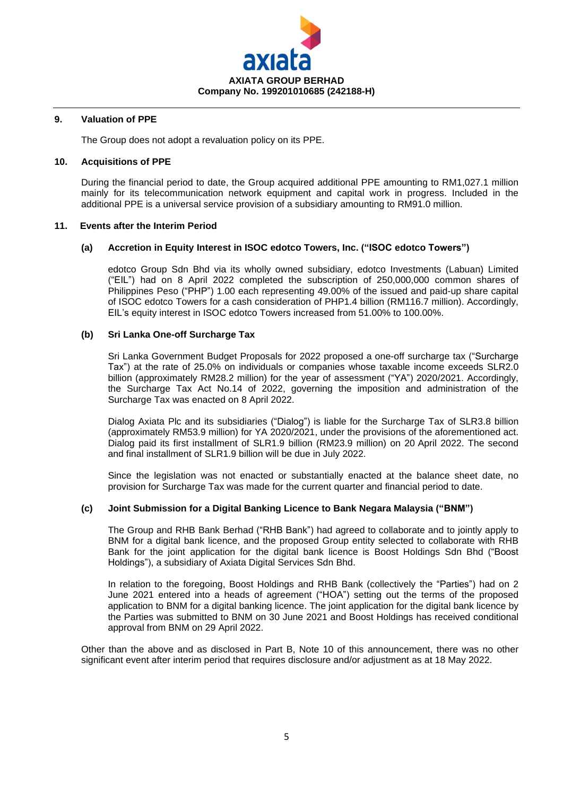

#### **9. Valuation of PPE**

The Group does not adopt a revaluation policy on its PPE.

#### **10. Acquisitions of PPE**

During the financial period to date, the Group acquired additional PPE amounting to RM1,027.1 million mainly for its telecommunication network equipment and capital work in progress. Included in the additional PPE is a universal service provision of a subsidiary amounting to RM91.0 million.

#### **11. Events after the Interim Period**

## **(a) Accretion in Equity Interest in ISOC edotco Towers, Inc. ("ISOC edotco Towers")**

edotco Group Sdn Bhd via its wholly owned subsidiary, edotco Investments (Labuan) Limited ("EIL") had on 8 April 2022 completed the subscription of 250,000,000 common shares of Philippines Peso ("PHP") 1.00 each representing 49.00% of the issued and paid-up share capital of ISOC edotco Towers for a cash consideration of PHP1.4 billion (RM116.7 million). Accordingly, EIL's equity interest in ISOC edotco Towers increased from 51.00% to 100.00%.

#### **(b) Sri Lanka One-off Surcharge Tax**

Sri Lanka Government Budget Proposals for 2022 proposed a one-off surcharge tax ("Surcharge Tax") at the rate of 25.0% on individuals or companies whose taxable income exceeds SLR2.0 billion (approximately RM28.2 million) for the year of assessment ("YA") 2020/2021. Accordingly, the Surcharge Tax Act No.14 of 2022, governing the imposition and administration of the Surcharge Tax was enacted on 8 April 2022.

Dialog Axiata Plc and its subsidiaries ("Dialog") is liable for the Surcharge Tax of SLR3.8 billion (approximately RM53.9 million) for YA 2020/2021, under the provisions of the aforementioned act. Dialog paid its first installment of SLR1.9 billion (RM23.9 million) on 20 April 2022. The second and final installment of SLR1.9 billion will be due in July 2022.

Since the legislation was not enacted or substantially enacted at the balance sheet date, no provision for Surcharge Tax was made for the current quarter and financial period to date.

## **(c) Joint Submission for a Digital Banking Licence to Bank Negara Malaysia ("BNM")**

The Group and RHB Bank Berhad ("RHB Bank") had agreed to collaborate and to jointly apply to BNM for a digital bank licence, and the proposed Group entity selected to collaborate with RHB Bank for the joint application for the digital bank licence is Boost Holdings Sdn Bhd ("Boost Holdings"), a subsidiary of Axiata Digital Services Sdn Bhd.

In relation to the foregoing, Boost Holdings and RHB Bank (collectively the "Parties") had on 2 June 2021 entered into a heads of agreement ("HOA") setting out the terms of the proposed application to BNM for a digital banking licence. The joint application for the digital bank licence by the Parties was submitted to BNM on 30 June 2021 and Boost Holdings has received conditional approval from BNM on 29 April 2022.

Other than the above and as disclosed in Part B, Note 10 of this announcement, there was no other significant event after interim period that requires disclosure and/or adjustment as at 18 May 2022.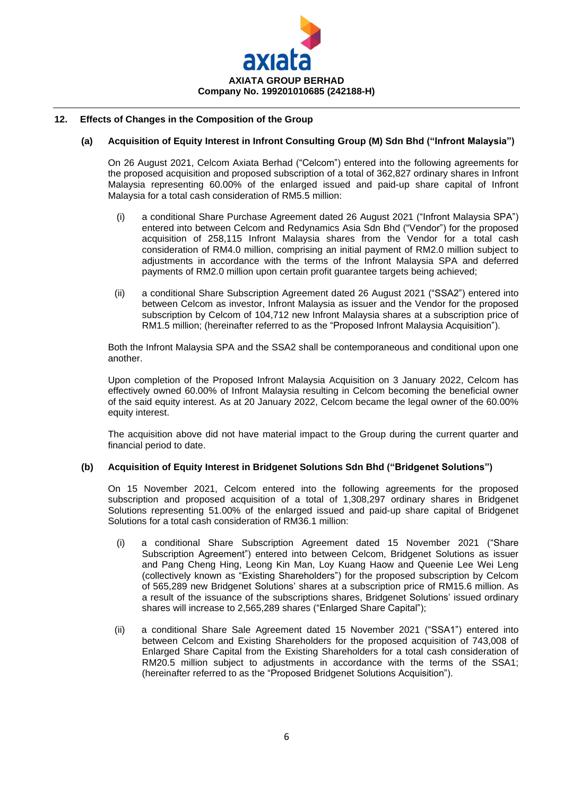

## **12. Effects of Changes in the Composition of the Group**

#### **(a) Acquisition of Equity Interest in Infront Consulting Group (M) Sdn Bhd ("Infront Malaysia")**

On 26 August 2021, Celcom Axiata Berhad ("Celcom") entered into the following agreements for the proposed acquisition and proposed subscription of a total of 362,827 ordinary shares in Infront Malaysia representing 60.00% of the enlarged issued and paid-up share capital of Infront Malaysia for a total cash consideration of RM5.5 million:

- (i) a conditional Share Purchase Agreement dated 26 August 2021 ("Infront Malaysia SPA") entered into between Celcom and Redynamics Asia Sdn Bhd ("Vendor") for the proposed acquisition of 258,115 Infront Malaysia shares from the Vendor for a total cash consideration of RM4.0 million, comprising an initial payment of RM2.0 million subject to adjustments in accordance with the terms of the Infront Malaysia SPA and deferred payments of RM2.0 million upon certain profit guarantee targets being achieved;
- (ii) a conditional Share Subscription Agreement dated 26 August 2021 ("SSA2") entered into between Celcom as investor, Infront Malaysia as issuer and the Vendor for the proposed subscription by Celcom of 104,712 new Infront Malaysia shares at a subscription price of RM1.5 million; (hereinafter referred to as the "Proposed Infront Malaysia Acquisition").

Both the Infront Malaysia SPA and the SSA2 shall be contemporaneous and conditional upon one another.

Upon completion of the Proposed Infront Malaysia Acquisition on 3 January 2022, Celcom has effectively owned 60.00% of Infront Malaysia resulting in Celcom becoming the beneficial owner of the said equity interest. As at 20 January 2022, Celcom became the legal owner of the 60.00% equity interest.

The acquisition above did not have material impact to the Group during the current quarter and financial period to date.

#### **(b) Acquisition of Equity Interest in Bridgenet Solutions Sdn Bhd ("Bridgenet Solutions")**

On 15 November 2021, Celcom entered into the following agreements for the proposed subscription and proposed acquisition of a total of 1,308,297 ordinary shares in Bridgenet Solutions representing 51.00% of the enlarged issued and paid-up share capital of Bridgenet Solutions for a total cash consideration of RM36.1 million:

- (i) a conditional Share Subscription Agreement dated 15 November 2021 ("Share Subscription Agreement") entered into between Celcom, Bridgenet Solutions as issuer and Pang Cheng Hing, Leong Kin Man, Loy Kuang Haow and Queenie Lee Wei Leng (collectively known as "Existing Shareholders") for the proposed subscription by Celcom of 565,289 new Bridgenet Solutions' shares at a subscription price of RM15.6 million. As a result of the issuance of the subscriptions shares, Bridgenet Solutions' issued ordinary shares will increase to 2,565,289 shares ("Enlarged Share Capital");
- (ii) a conditional Share Sale Agreement dated 15 November 2021 ("SSA1") entered into between Celcom and Existing Shareholders for the proposed acquisition of 743,008 of Enlarged Share Capital from the Existing Shareholders for a total cash consideration of RM20.5 million subject to adjustments in accordance with the terms of the SSA1; (hereinafter referred to as the "Proposed Bridgenet Solutions Acquisition").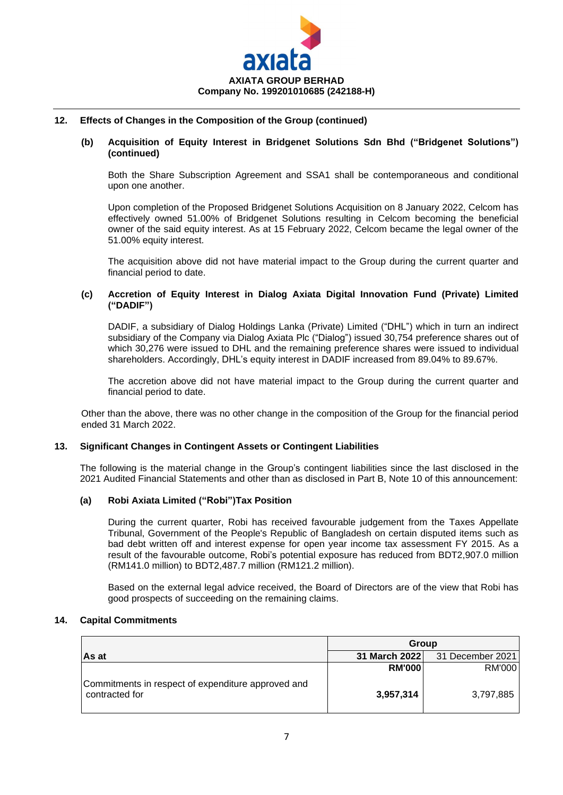

#### **12. Effects of Changes in the Composition of the Group (continued)**

#### **(b) Acquisition of Equity Interest in Bridgenet Solutions Sdn Bhd ("Bridgenet Solutions") (continued)**

Both the Share Subscription Agreement and SSA1 shall be contemporaneous and conditional upon one another.

Upon completion of the Proposed Bridgenet Solutions Acquisition on 8 January 2022, Celcom has effectively owned 51.00% of Bridgenet Solutions resulting in Celcom becoming the beneficial owner of the said equity interest. As at 15 February 2022, Celcom became the legal owner of the 51.00% equity interest.

The acquisition above did not have material impact to the Group during the current quarter and financial period to date.

#### **(c) Accretion of Equity Interest in Dialog Axiata Digital Innovation Fund (Private) Limited ("DADIF")**

DADIF, a subsidiary of Dialog Holdings Lanka (Private) Limited ("DHL") which in turn an indirect subsidiary of the Company via Dialog Axiata Plc ("Dialog") issued 30,754 preference shares out of which 30,276 were issued to DHL and the remaining preference shares were issued to individual shareholders. Accordingly, DHL's equity interest in DADIF increased from 89.04% to 89.67%.

The accretion above did not have material impact to the Group during the current quarter and financial period to date.

Other than the above, there was no other change in the composition of the Group for the financial period ended 31 March 2022.

## **13. Significant Changes in Contingent Assets or Contingent Liabilities**

The following is the material change in the Group's contingent liabilities since the last disclosed in the 2021 Audited Financial Statements and other than as disclosed in Part B, Note 10 of this announcement:

#### **(a) Robi Axiata Limited ("Robi")Tax Position**

During the current quarter, Robi has received favourable judgement from the Taxes Appellate Tribunal, Government of the People's Republic of Bangladesh on certain disputed items such as bad debt written off and interest expense for open year income tax assessment FY 2015. As a result of the favourable outcome, Robi's potential exposure has reduced from BDT2,907.0 million (RM141.0 million) to BDT2,487.7 million (RM121.2 million).

Based on the external legal advice received, the Board of Directors are of the view that Robi has good prospects of succeeding on the remaining claims.

#### **14. Capital Commitments**

|                                                                      | Group         |                  |  |
|----------------------------------------------------------------------|---------------|------------------|--|
| As at                                                                | 31 March 2022 | 31 December 2021 |  |
|                                                                      | <b>RM'000</b> | RM'000           |  |
| Commitments in respect of expenditure approved and<br>contracted for | 3,957,314     | 3,797,885        |  |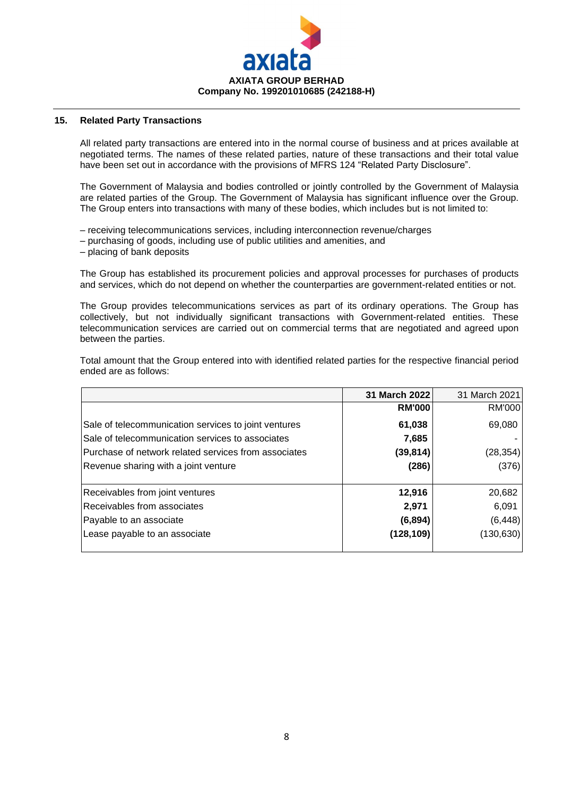

### **15. Related Party Transactions**

All related party transactions are entered into in the normal course of business and at prices available at negotiated terms. The names of these related parties, nature of these transactions and their total value have been set out in accordance with the provisions of MFRS 124 "Related Party Disclosure".

The Government of Malaysia and bodies controlled or jointly controlled by the Government of Malaysia are related parties of the Group. The Government of Malaysia has significant influence over the Group. The Group enters into transactions with many of these bodies, which includes but is not limited to:

- receiving telecommunications services, including interconnection revenue/charges
- purchasing of goods, including use of public utilities and amenities, and
- placing of bank deposits

The Group has established its procurement policies and approval processes for purchases of products and services, which do not depend on whether the counterparties are government-related entities or not.

The Group provides telecommunications services as part of its ordinary operations. The Group has collectively, but not individually significant transactions with Government-related entities. These telecommunication services are carried out on commercial terms that are negotiated and agreed upon between the parties.

Total amount that the Group entered into with identified related parties for the respective financial period ended are as follows:

|                                                      | 31 March 2022 | 31 March 2021 |
|------------------------------------------------------|---------------|---------------|
|                                                      | <b>RM'000</b> | RM'000        |
| Sale of telecommunication services to joint ventures | 61,038        | 69,080        |
| Sale of telecommunication services to associates     | 7,685         |               |
| Purchase of network related services from associates | (39, 814)     | (28,354)      |
| Revenue sharing with a joint venture                 | (286)         | (376)         |
| Receivables from joint ventures                      | 12,916        | 20,682        |
| Receivables from associates                          | 2,971         | 6,091         |
| Payable to an associate                              | (6, 894)      | (6, 448)      |
| Lease payable to an associate                        | (128, 109)    | (130, 630)    |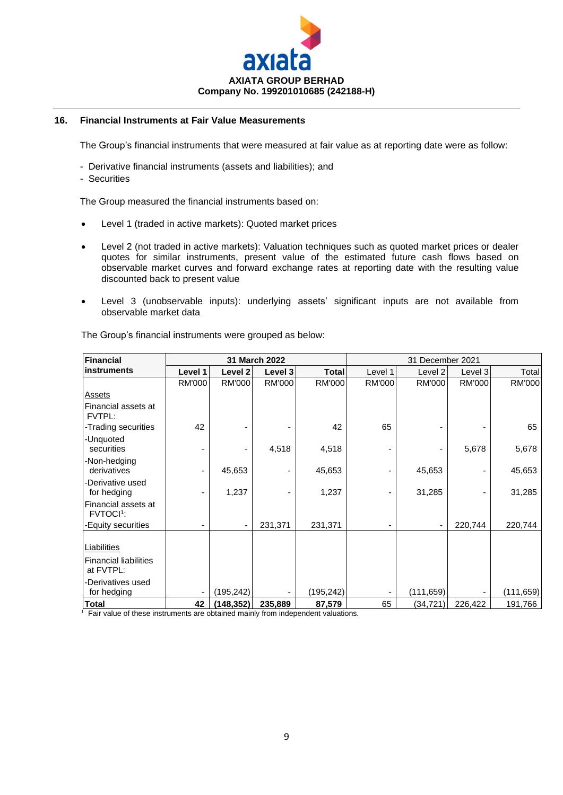

## **16. Financial Instruments at Fair Value Measurements**

The Group's financial instruments that were measured at fair value as at reporting date were as follow:

- Derivative financial instruments (assets and liabilities); and
- Securities

The Group measured the financial instruments based on:

- Level 1 (traded in active markets): Quoted market prices
- Level 2 (not traded in active markets): Valuation techniques such as quoted market prices or dealer quotes for similar instruments, present value of the estimated future cash flows based on observable market curves and forward exchange rates at reporting date with the resulting value discounted back to present value
- Level 3 (unobservable inputs): underlying assets' significant inputs are not available from observable market data

| Financial                                                                     |               |               | 31 March 2022 |               |         | 31 December 2021 |               |            |
|-------------------------------------------------------------------------------|---------------|---------------|---------------|---------------|---------|------------------|---------------|------------|
| <b>instruments</b>                                                            | Level 1       | Level 2       | Level 3       | <b>Total</b>  | Level 1 | Level 2          | Level 3       | Total      |
|                                                                               | <b>RM'000</b> | <b>RM'000</b> | <b>RM'000</b> | <b>RM'000</b> | RM'000  | <b>RM'000</b>    | <b>RM'000</b> | RM'000     |
| <b>Assets</b>                                                                 |               |               |               |               |         |                  |               |            |
| Financial assets at<br>FVTPL:                                                 |               |               |               |               |         |                  |               |            |
| -Trading securities                                                           | 42            |               |               | 42            | 65      |                  |               | 65         |
| -Unquoted<br>securities                                                       |               |               | 4,518         | 4,518         |         |                  | 5,678         | 5,678      |
| -Non-hedging<br>derivatives                                                   |               | 45,653        |               | 45,653        |         | 45,653           |               | 45,653     |
| -Derivative used<br>for hedging                                               |               | 1,237         |               | 1,237         |         | 31,285           |               | 31,285     |
| Financial assets at<br>FVTOCI <sup>1</sup> :                                  |               |               |               |               |         |                  |               |            |
| -Equity securities                                                            |               |               | 231,371       | 231,371       |         |                  | 220,744       | 220,744    |
| Liabilities<br><b>Financial liabilities</b><br>at FVTPL:<br>-Derivatives used |               |               |               |               |         |                  |               |            |
| for hedging                                                                   |               | (195,242)     |               | (195,242)     |         | (111, 659)       |               | (111, 659) |
| Total                                                                         | 42            | (148, 352)    | 235,889       | 87,579        | 65      | (34,721)         | 226,422       | 191,766    |

The Group's financial instruments were grouped as below:

<sup>1</sup> Fair value of these instruments are obtained mainly from independent valuations.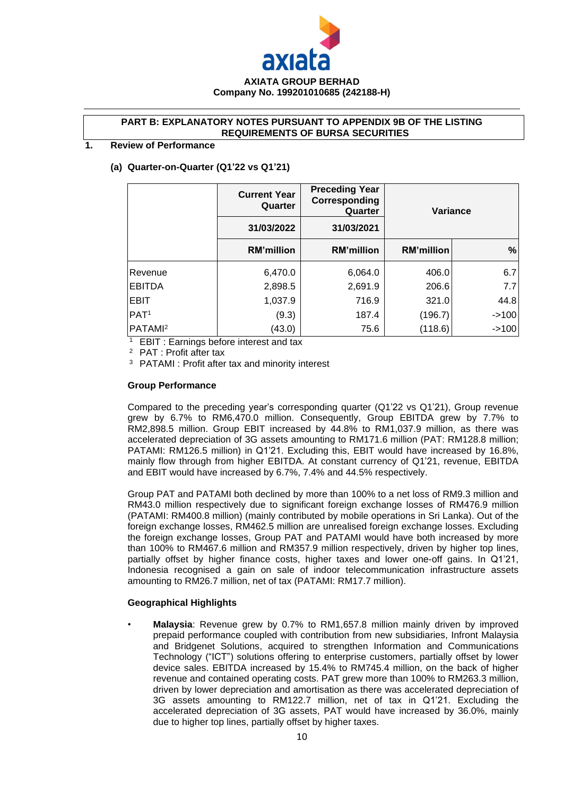

#### **PART B: EXPLANATORY NOTES PURSUANT TO APPENDIX 9B OF THE LISTING REQUIREMENTS OF BURSA SECURITIES**

#### **1. Review of Performance**

#### **(a) Quarter-on-Quarter (Q1'22 vs Q1'21)**

|                     | <b>Current Year</b><br>Quarter | <b>Preceding Year</b><br>Corresponding<br>Quarter | <b>Variance</b>   |         |
|---------------------|--------------------------------|---------------------------------------------------|-------------------|---------|
|                     | 31/03/2022                     | 31/03/2021                                        |                   |         |
|                     | <b>RM'million</b>              | <b>RM'million</b>                                 | <b>RM'million</b> | %       |
| Revenue             | 6,470.0                        | 6,064.0                                           | 406.0             | 6.7     |
| <b>EBITDA</b>       | 2,898.5                        | 2,691.9                                           | 206.6             | 7.7     |
| <b>EBIT</b>         | 1,037.9                        | 716.9                                             | 321.0             | 44.8    |
| PAT <sup>1</sup>    | (9.3)                          | 187.4                                             | (196.7)           | $-5100$ |
| PATAMI <sup>2</sup> | (43.0)                         | 75.6                                              | (118.6)           | $-5100$ |

<sup>1</sup>EBIT : Earnings before interest and tax

<sup>2</sup> PAT : Profit after tax

<sup>3</sup> PATAMI : Profit after tax and minority interest

#### **Group Performance**

Compared to the preceding year's corresponding quarter (Q1'22 vs Q1'21), Group revenue grew by 6.7% to RM6,470.0 million. Consequently, Group EBITDA grew by 7.7% to RM2,898.5 million. Group EBIT increased by 44.8% to RM1,037.9 million, as there was accelerated depreciation of 3G assets amounting to RM171.6 million (PAT: RM128.8 million; PATAMI: RM126.5 million) in Q1'21. Excluding this, EBIT would have increased by 16.8%, mainly flow through from higher EBITDA. At constant currency of Q1'21, revenue, EBITDA and EBIT would have increased by 6.7%, 7.4% and 44.5% respectively.

Group PAT and PATAMI both declined by more than 100% to a net loss of RM9.3 million and RM43.0 million respectively due to significant foreign exchange losses of RM476.9 million (PATAMI: RM400.8 million) (mainly contributed by mobile operations in Sri Lanka). Out of the foreign exchange losses, RM462.5 million are unrealised foreign exchange losses. Excluding the foreign exchange losses, Group PAT and PATAMI would have both increased by more than 100% to RM467.6 million and RM357.9 million respectively, driven by higher top lines, partially offset by higher finance costs, higher taxes and lower one-off gains. In Q1'21, Indonesia recognised a gain on sale of indoor telecommunication infrastructure assets amounting to RM26.7 million, net of tax (PATAMI: RM17.7 million).

#### **Geographical Highlights**

• **Malaysia**: Revenue grew by 0.7% to RM1,657.8 million mainly driven by improved prepaid performance coupled with contribution from new subsidiaries, Infront Malaysia and Bridgenet Solutions, acquired to strengthen Information and Communications Technology ("ICT") solutions offering to enterprise customers, partially offset by lower device sales. EBITDA increased by 15.4% to RM745.4 million, on the back of higher revenue and contained operating costs. PAT grew more than 100% to RM263.3 million, driven by lower depreciation and amortisation as there was accelerated depreciation of 3G assets amounting to RM122.7 million, net of tax in Q1'21. Excluding the accelerated depreciation of 3G assets, PAT would have increased by 36.0%, mainly due to higher top lines, partially offset by higher taxes.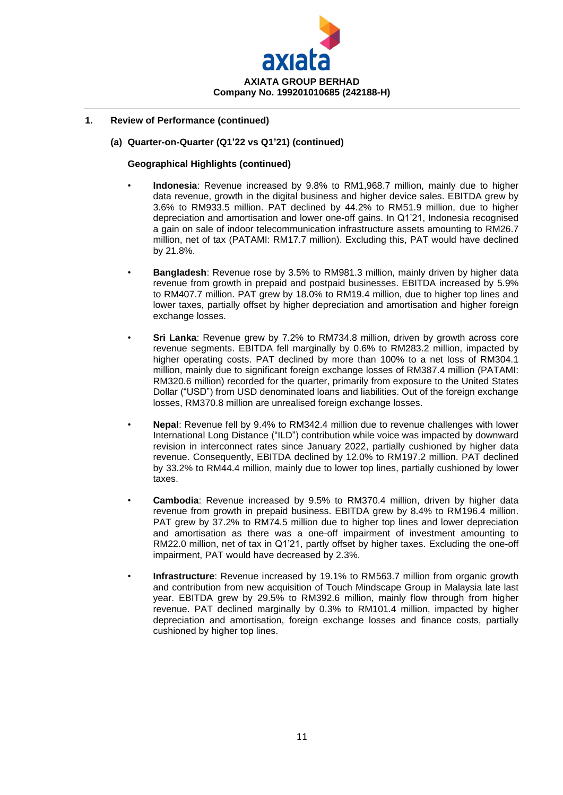

## **1. Review of Performance (continued)**

#### **(a) Quarter-on-Quarter (Q1'22 vs Q1'21) (continued)**

#### **Geographical Highlights (continued)**

- **Indonesia**: Revenue increased by 9.8% to RM1,968.7 million, mainly due to higher data revenue, growth in the digital business and higher device sales. EBITDA grew by 3.6% to RM933.5 million. PAT declined by 44.2% to RM51.9 million, due to higher depreciation and amortisation and lower one-off gains. In Q1'21, Indonesia recognised a gain on sale of indoor telecommunication infrastructure assets amounting to RM26.7 million, net of tax (PATAMI: RM17.7 million). Excluding this, PAT would have declined by 21.8%.
- **Bangladesh**: Revenue rose by 3.5% to RM981.3 million, mainly driven by higher data revenue from growth in prepaid and postpaid businesses. EBITDA increased by 5.9% to RM407.7 million. PAT grew by 18.0% to RM19.4 million, due to higher top lines and lower taxes, partially offset by higher depreciation and amortisation and higher foreign exchange losses.
- **Sri Lanka**: Revenue grew by 7.2% to RM734.8 million, driven by growth across core revenue segments. EBITDA fell marginally by 0.6% to RM283.2 million, impacted by higher operating costs. PAT declined by more than 100% to a net loss of RM304.1 million, mainly due to significant foreign exchange losses of RM387.4 million (PATAMI: RM320.6 million) recorded for the quarter, primarily from exposure to the United States Dollar ("USD") from USD denominated loans and liabilities. Out of the foreign exchange losses, RM370.8 million are unrealised foreign exchange losses.
- **Nepal**: Revenue fell by 9.4% to RM342.4 million due to revenue challenges with lower International Long Distance ("ILD") contribution while voice was impacted by downward revision in interconnect rates since January 2022, partially cushioned by higher data revenue. Consequently, EBITDA declined by 12.0% to RM197.2 million. PAT declined by 33.2% to RM44.4 million, mainly due to lower top lines, partially cushioned by lower taxes.
- **Cambodia**: Revenue increased by 9.5% to RM370.4 million, driven by higher data revenue from growth in prepaid business. EBITDA grew by 8.4% to RM196.4 million. PAT grew by 37.2% to RM74.5 million due to higher top lines and lower depreciation and amortisation as there was a one-off impairment of investment amounting to RM22.0 million, net of tax in Q1'21, partly offset by higher taxes. Excluding the one-off impairment, PAT would have decreased by 2.3%.
	- **Infrastructure**: Revenue increased by 19.1% to RM563.7 million from organic growth and contribution from new acquisition of Touch Mindscape Group in Malaysia late last year. EBITDA grew by 29.5% to RM392.6 million, mainly flow through from higher revenue. PAT declined marginally by 0.3% to RM101.4 million, impacted by higher depreciation and amortisation, foreign exchange losses and finance costs, partially cushioned by higher top lines.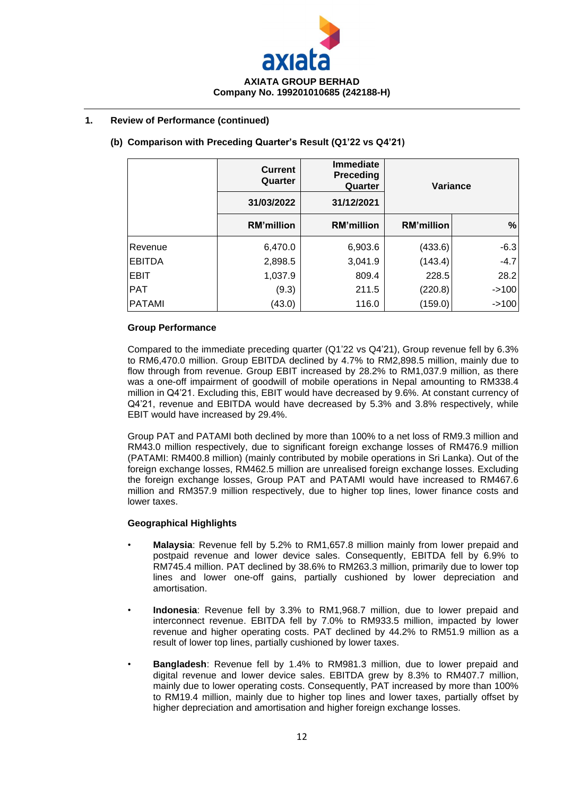

## **1. Review of Performance (continued)**

## **(b) Comparison with Preceding Quarter's Result (Q1'22 vs Q4'21)**

|               | <b>Current</b><br>Quarter | <b>Immediate</b><br><b>Preceding</b><br>Quarter |                   | Variance |
|---------------|---------------------------|-------------------------------------------------|-------------------|----------|
|               | 31/03/2022                | 31/12/2021                                      |                   |          |
|               | <b>RM'million</b>         | <b>RM'million</b>                               | <b>RM'million</b> | $\%$     |
| Revenue       | 6,470.0                   | 6,903.6                                         | (433.6)           | $-6.3$   |
| <b>EBITDA</b> | 2,898.5                   | 3,041.9                                         | (143.4)           | $-4.7$   |
| <b>EBIT</b>   | 1,037.9                   | 809.4                                           | 228.5             | 28.2     |
| <b>PAT</b>    | (9.3)                     | 211.5                                           | (220.8)           | $-2100$  |
| <b>PATAMI</b> | (43.0)                    | 116.0                                           | (159.0)           | $-2100$  |

#### **Group Performance**

Compared to the immediate preceding quarter (Q1'22 vs Q4'21), Group revenue fell by 6.3% to RM6,470.0 million. Group EBITDA declined by 4.7% to RM2,898.5 million, mainly due to flow through from revenue. Group EBIT increased by 28.2% to RM1,037.9 million, as there was a one-off impairment of goodwill of mobile operations in Nepal amounting to RM338.4 million in Q4'21. Excluding this, EBIT would have decreased by 9.6%. At constant currency of Q4'21, revenue and EBITDA would have decreased by 5.3% and 3.8% respectively, while EBIT would have increased by 29.4%.

Group PAT and PATAMI both declined by more than 100% to a net loss of RM9.3 million and RM43.0 million respectively, due to significant foreign exchange losses of RM476.9 million (PATAMI: RM400.8 million) (mainly contributed by mobile operations in Sri Lanka). Out of the foreign exchange losses, RM462.5 million are unrealised foreign exchange losses. Excluding the foreign exchange losses, Group PAT and PATAMI would have increased to RM467.6 million and RM357.9 million respectively, due to higher top lines, lower finance costs and lower taxes.

#### **Geographical Highlights**

- **Malaysia**: Revenue fell by 5.2% to RM1,657.8 million mainly from lower prepaid and postpaid revenue and lower device sales. Consequently, EBITDA fell by 6.9% to RM745.4 million. PAT declined by 38.6% to RM263.3 million, primarily due to lower top lines and lower one-off gains, partially cushioned by lower depreciation and amortisation.
- **Indonesia**: Revenue fell by 3.3% to RM1,968.7 million, due to lower prepaid and interconnect revenue. EBITDA fell by 7.0% to RM933.5 million, impacted by lower revenue and higher operating costs. PAT declined by 44.2% to RM51.9 million as a result of lower top lines, partially cushioned by lower taxes.
- **Bangladesh**: Revenue fell by 1.4% to RM981.3 million, due to lower prepaid and digital revenue and lower device sales. EBITDA grew by 8.3% to RM407.7 million, mainly due to lower operating costs. Consequently, PAT increased by more than 100% to RM19.4 million, mainly due to higher top lines and lower taxes, partially offset by higher depreciation and amortisation and higher foreign exchange losses.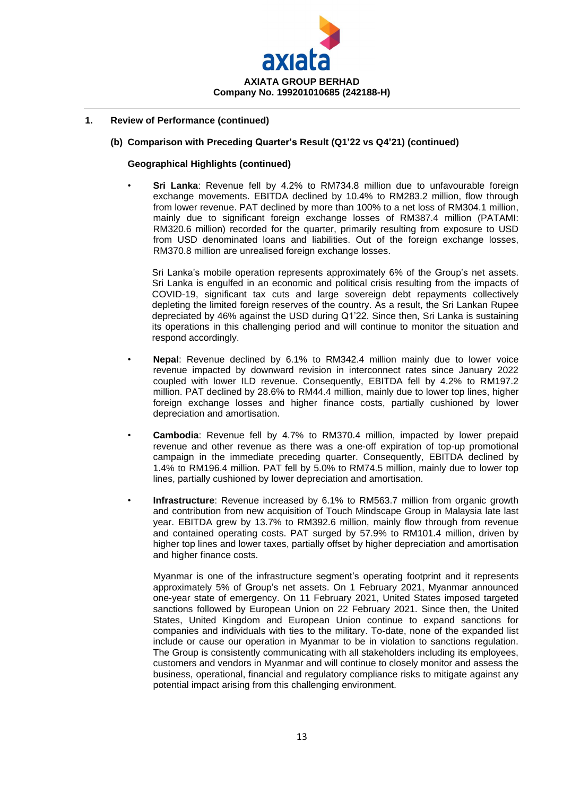

### **1. Review of Performance (continued)**

#### **(b) Comparison with Preceding Quarter's Result (Q1'22 vs Q4'21) (continued)**

#### **Geographical Highlights (continued)**

• **Sri Lanka**: Revenue fell by 4.2% to RM734.8 million due to unfavourable foreign exchange movements. EBITDA declined by 10.4% to RM283.2 million, flow through from lower revenue. PAT declined by more than 100% to a net loss of RM304.1 million, mainly due to significant foreign exchange losses of RM387.4 million (PATAMI: RM320.6 million) recorded for the quarter, primarily resulting from exposure to USD from USD denominated loans and liabilities. Out of the foreign exchange losses, RM370.8 million are unrealised foreign exchange losses.

Sri Lanka's mobile operation represents approximately 6% of the Group's net assets. Sri Lanka is engulfed in an economic and political crisis resulting from the impacts of COVID-19, significant tax cuts and large sovereign debt repayments collectively depleting the limited foreign reserves of the country. As a result, the Sri Lankan Rupee depreciated by 46% against the USD during Q1'22. Since then, Sri Lanka is sustaining its operations in this challenging period and will continue to monitor the situation and respond accordingly.

- **Nepal**: Revenue declined by 6.1% to RM342.4 million mainly due to lower voice revenue impacted by downward revision in interconnect rates since January 2022 coupled with lower ILD revenue. Consequently, EBITDA fell by 4.2% to RM197.2 million. PAT declined by 28.6% to RM44.4 million, mainly due to lower top lines, higher foreign exchange losses and higher finance costs, partially cushioned by lower depreciation and amortisation.
- **Cambodia**: Revenue fell by 4.7% to RM370.4 million, impacted by lower prepaid revenue and other revenue as there was a one-off expiration of top-up promotional campaign in the immediate preceding quarter. Consequently, EBITDA declined by 1.4% to RM196.4 million. PAT fell by 5.0% to RM74.5 million, mainly due to lower top lines, partially cushioned by lower depreciation and amortisation.
- **Infrastructure**: Revenue increased by 6.1% to RM563.7 million from organic growth and contribution from new acquisition of Touch Mindscape Group in Malaysia late last year. EBITDA grew by 13.7% to RM392.6 million, mainly flow through from revenue and contained operating costs. PAT surged by 57.9% to RM101.4 million, driven by higher top lines and lower taxes, partially offset by higher depreciation and amortisation and higher finance costs.

Myanmar is one of the infrastructure segment's operating footprint and it represents approximately 5% of Group's net assets. On 1 February 2021, Myanmar announced one-year state of emergency. On 11 February 2021, United States imposed targeted sanctions followed by European Union on 22 February 2021. Since then, the United States, United Kingdom and European Union continue to expand sanctions for companies and individuals with ties to the military. To-date, none of the expanded list include or cause our operation in Myanmar to be in violation to sanctions regulation. The Group is consistently communicating with all stakeholders including its employees, customers and vendors in Myanmar and will continue to closely monitor and assess the business, operational, financial and regulatory compliance risks to mitigate against any potential impact arising from this challenging environment.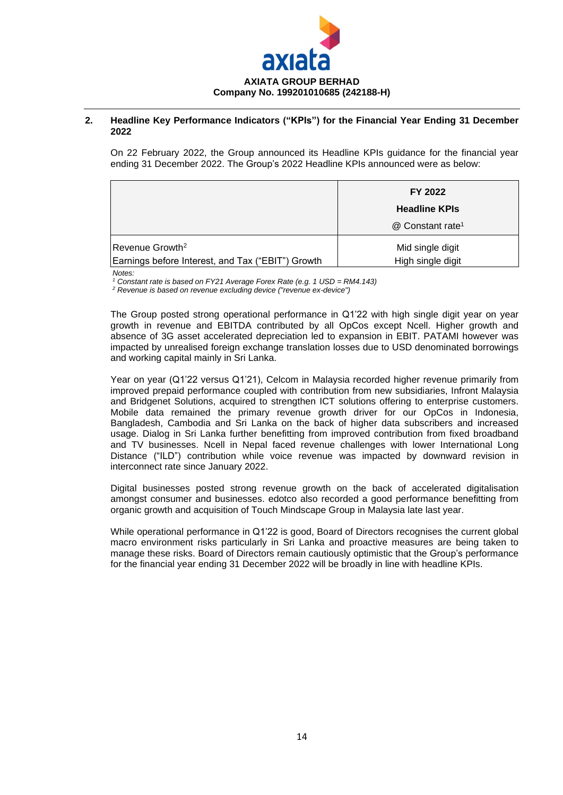

#### **2. Headline Key Performance Indicators ("KPIs") for the Financial Year Ending 31 December 2022**

On 22 February 2022, the Group announced its Headline KPIs guidance for the financial year ending 31 December 2022. The Group's 2022 Headline KPIs announced were as below:

|                                                   | FY 2022                      |
|---------------------------------------------------|------------------------------|
|                                                   | <b>Headline KPIs</b>         |
|                                                   | @ Constant rate <sup>1</sup> |
| $Re$ venue Growth <sup>2</sup>                    | Mid single digit             |
| Earnings before Interest, and Tax ("EBIT") Growth | High single digit            |

*Notes:* 

*<sup>1</sup> Constant rate is based on FY21 Average Forex Rate (e.g. 1 USD = RM4.143)*

*<sup>2</sup> Revenue is based on revenue excluding device ("revenue ex-device")*

The Group posted strong operational performance in Q1'22 with high single digit year on year growth in revenue and EBITDA contributed by all OpCos except Ncell. Higher growth and absence of 3G asset accelerated depreciation led to expansion in EBIT. PATAMI however was impacted by unrealised foreign exchange translation losses due to USD denominated borrowings and working capital mainly in Sri Lanka.

Year on year (Q1'22 versus Q1'21), Celcom in Malaysia recorded higher revenue primarily from improved prepaid performance coupled with contribution from new subsidiaries, Infront Malaysia and Bridgenet Solutions, acquired to strengthen ICT solutions offering to enterprise customers. Mobile data remained the primary revenue growth driver for our OpCos in Indonesia, Bangladesh, Cambodia and Sri Lanka on the back of higher data subscribers and increased usage. Dialog in Sri Lanka further benefitting from improved contribution from fixed broadband and TV businesses. Ncell in Nepal faced revenue challenges with lower International Long Distance ("ILD") contribution while voice revenue was impacted by downward revision in interconnect rate since January 2022.

Digital businesses posted strong revenue growth on the back of accelerated digitalisation amongst consumer and businesses. edotco also recorded a good performance benefitting from organic growth and acquisition of Touch Mindscape Group in Malaysia late last year.

While operational performance in Q1'22 is good, Board of Directors recognises the current global macro environment risks particularly in Sri Lanka and proactive measures are being taken to manage these risks. Board of Directors remain cautiously optimistic that the Group's performance for the financial year ending 31 December 2022 will be broadly in line with headline KPIs.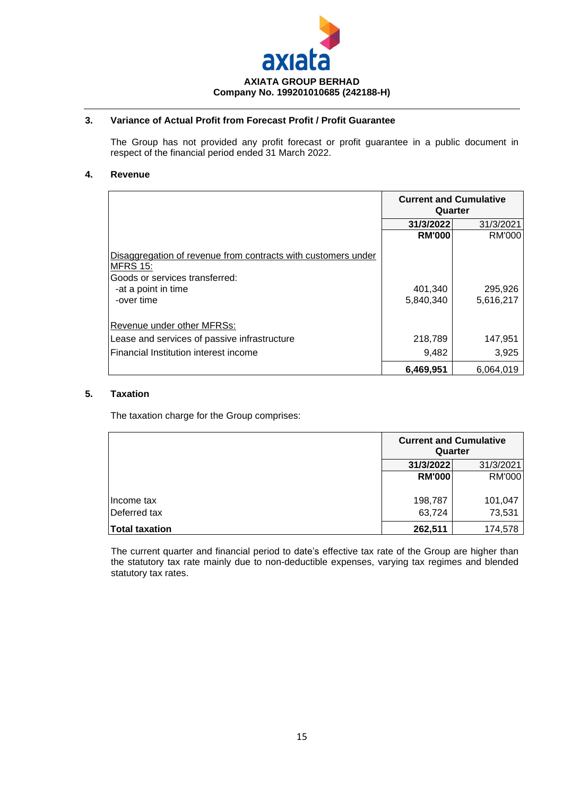

## **3. Variance of Actual Profit from Forecast Profit / Profit Guarantee**

The Group has not provided any profit forecast or profit guarantee in a public document in respect of the financial period ended 31 March 2022.

## **4. Revenue**

|                                                                                                                                                         | <b>Current and Cumulative</b><br>Quarter |                      |  |
|---------------------------------------------------------------------------------------------------------------------------------------------------------|------------------------------------------|----------------------|--|
|                                                                                                                                                         | 31/3/2022                                | 31/3/2021            |  |
|                                                                                                                                                         | <b>RM'000</b>                            | RM'000               |  |
| Disaggregation of revenue from contracts with customers under<br><b>MFRS 15:</b><br>Goods or services transferred:<br>-at a point in time<br>-over time | 401,340<br>5,840,340                     | 295,926<br>5,616,217 |  |
| Revenue under other MFRSs:                                                                                                                              |                                          |                      |  |
| Lease and services of passive infrastructure                                                                                                            | 218,789                                  | 147,951              |  |
| Financial Institution interest income                                                                                                                   | 9,482                                    | 3,925                |  |
|                                                                                                                                                         | 6,469,951                                | 6,064,019            |  |

#### **5. Taxation**

The taxation charge for the Group comprises:

|                |               | <b>Current and Cumulative</b><br>Quarter |
|----------------|---------------|------------------------------------------|
|                | 31/3/2022     | 31/3/2021                                |
|                | <b>RM'000</b> | RM'000                                   |
| Income tax     | 198,787       | 101,047                                  |
| Deferred tax   | 63,724        | 73,531                                   |
| Total taxation | 262,511       | 174,578                                  |

The current quarter and financial period to date's effective tax rate of the Group are higher than the statutory tax rate mainly due to non-deductible expenses, varying tax regimes and blended statutory tax rates.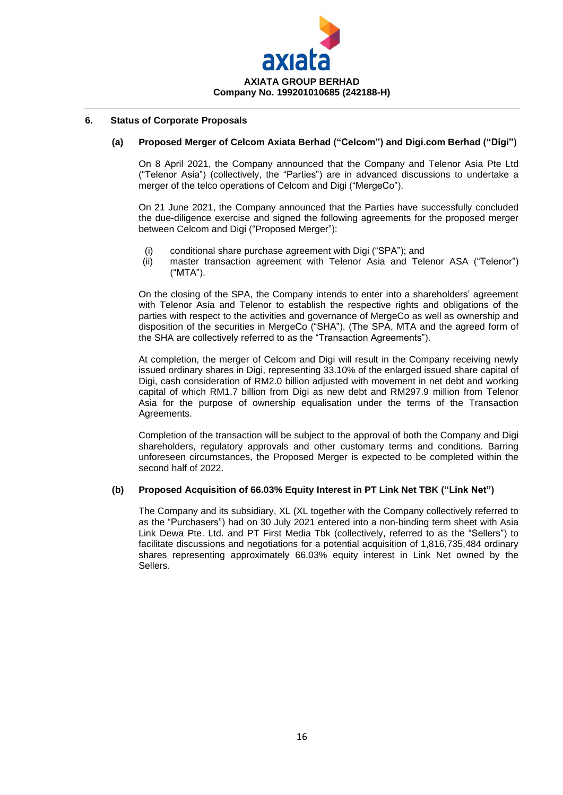

### **6. Status of Corporate Proposals**

#### **(a) Proposed Merger of Celcom Axiata Berhad ("Celcom") and Digi.com Berhad ("Digi")**

On 8 April 2021, the Company announced that the Company and Telenor Asia Pte Ltd ("Telenor Asia") (collectively, the "Parties") are in advanced discussions to undertake a merger of the telco operations of Celcom and Digi ("MergeCo").

On 21 June 2021, the Company announced that the Parties have successfully concluded the due-diligence exercise and signed the following agreements for the proposed merger between Celcom and Digi ("Proposed Merger"):

- (i) conditional share purchase agreement with Digi ("SPA"); and
- (ii) master transaction agreement with Telenor Asia and Telenor ASA ("Telenor") ("MTA").

On the closing of the SPA, the Company intends to enter into a shareholders' agreement with Telenor Asia and Telenor to establish the respective rights and obligations of the parties with respect to the activities and governance of MergeCo as well as ownership and disposition of the securities in MergeCo ("SHA"). (The SPA, MTA and the agreed form of the SHA are collectively referred to as the "Transaction Agreements").

At completion, the merger of Celcom and Digi will result in the Company receiving newly issued ordinary shares in Digi, representing 33.10% of the enlarged issued share capital of Digi, cash consideration of RM2.0 billion adjusted with movement in net debt and working capital of which RM1.7 billion from Digi as new debt and RM297.9 million from Telenor Asia for the purpose of ownership equalisation under the terms of the Transaction Agreements.

Completion of the transaction will be subject to the approval of both the Company and Digi shareholders, regulatory approvals and other customary terms and conditions. Barring unforeseen circumstances, the Proposed Merger is expected to be completed within the second half of 2022.

#### **(b) Proposed Acquisition of 66.03% Equity Interest in PT Link Net TBK ("Link Net")**

The Company and its subsidiary, XL (XL together with the Company collectively referred to as the "Purchasers") had on 30 July 2021 entered into a non-binding term sheet with Asia Link Dewa Pte. Ltd. and PT First Media Tbk (collectively, referred to as the "Sellers") to facilitate discussions and negotiations for a potential acquisition of 1,816,735,484 ordinary shares representing approximately 66.03% equity interest in Link Net owned by the Sellers.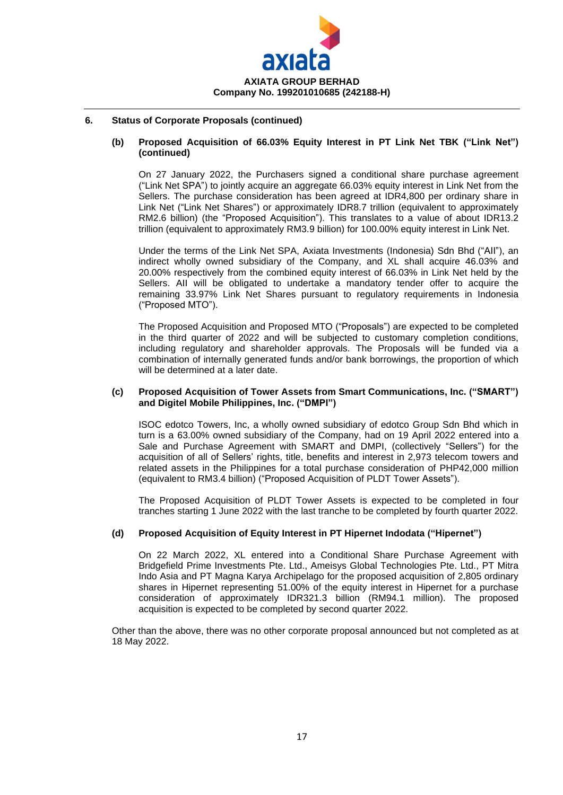

### **6. Status of Corporate Proposals (continued)**

#### **(b) Proposed Acquisition of 66.03% Equity Interest in PT Link Net TBK ("Link Net") (continued)**

On 27 January 2022, the Purchasers signed a conditional share purchase agreement ("Link Net SPA") to jointly acquire an aggregate 66.03% equity interest in Link Net from the Sellers. The purchase consideration has been agreed at IDR4,800 per ordinary share in Link Net ("Link Net Shares") or approximately IDR8.7 trillion (equivalent to approximately RM2.6 billion) (the "Proposed Acquisition"). This translates to a value of about IDR13.2 trillion (equivalent to approximately RM3.9 billion) for 100.00% equity interest in Link Net.

Under the terms of the Link Net SPA, Axiata Investments (Indonesia) Sdn Bhd ("AII"), an indirect wholly owned subsidiary of the Company, and XL shall acquire 46.03% and 20.00% respectively from the combined equity interest of 66.03% in Link Net held by the Sellers. AII will be obligated to undertake a mandatory tender offer to acquire the remaining 33.97% Link Net Shares pursuant to regulatory requirements in Indonesia ("Proposed MTO").

The Proposed Acquisition and Proposed MTO ("Proposals") are expected to be completed in the third quarter of 2022 and will be subjected to customary completion conditions, including regulatory and shareholder approvals. The Proposals will be funded via a combination of internally generated funds and/or bank borrowings, the proportion of which will be determined at a later date.

#### **(c) Proposed Acquisition of Tower Assets from Smart Communications, Inc. ("SMART") and Digitel Mobile Philippines, Inc. ("DMPI")**

ISOC edotco Towers, Inc, a wholly owned subsidiary of edotco Group Sdn Bhd which in turn is a 63.00% owned subsidiary of the Company, had on 19 April 2022 entered into a Sale and Purchase Agreement with SMART and DMPI, (collectively "Sellers") for the acquisition of all of Sellers' rights, title, benefits and interest in 2,973 telecom towers and related assets in the Philippines for a total purchase consideration of PHP42,000 million (equivalent to RM3.4 billion) ("Proposed Acquisition of PLDT Tower Assets").

The Proposed Acquisition of PLDT Tower Assets is expected to be completed in four tranches starting 1 June 2022 with the last tranche to be completed by fourth quarter 2022.

## **(d) Proposed Acquisition of Equity Interest in PT Hipernet Indodata ("Hipernet")**

On 22 March 2022, XL entered into a Conditional Share Purchase Agreement with Bridgefield Prime Investments Pte. Ltd., Ameisys Global Technologies Pte. Ltd., PT Mitra Indo Asia and PT Magna Karya Archipelago for the proposed acquisition of 2,805 ordinary shares in Hipernet representing 51.00% of the equity interest in Hipernet for a purchase consideration of approximately IDR321.3 billion (RM94.1 million). The proposed acquisition is expected to be completed by second quarter 2022.

Other than the above, there was no other corporate proposal announced but not completed as at 18 May 2022.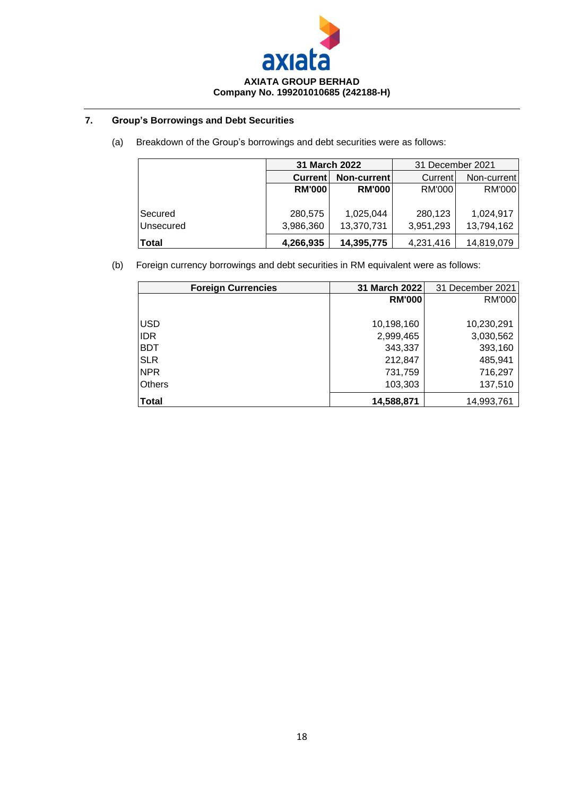

## **7. Group's Borrowings and Debt Securities**

(a) Breakdown of the Group's borrowings and debt securities were as follows:

|              | <b>31 March 2022</b>   |               | 31 December 2021 |             |  |
|--------------|------------------------|---------------|------------------|-------------|--|
|              | Non-current<br>Current |               | Current          | Non-current |  |
|              | <b>RM'000</b>          | <b>RM'000</b> | RM'000           | RM'000      |  |
|              |                        |               |                  |             |  |
| Secured      | 280,575                | 1,025,044     | 280,123          | 1,024,917   |  |
| Unsecured    | 3,986,360              | 13,370,731    | 3,951,293        | 13,794,162  |  |
| <b>Total</b> | 4,266,935              | 14,395,775    | 4,231,416        | 14,819,079  |  |

(b) Foreign currency borrowings and debt securities in RM equivalent were as follows:

| <b>Foreign Currencies</b> | 31 March 2022 | 31 December 2021 |
|---------------------------|---------------|------------------|
|                           | <b>RM'000</b> | RM'000           |
|                           |               |                  |
| <b>USD</b>                | 10,198,160    | 10,230,291       |
| <b>IDR</b>                | 2,999,465     | 3,030,562        |
| <b>BDT</b>                | 343,337       | 393,160          |
| <b>SLR</b>                | 212,847       | 485,941          |
| <b>NPR</b>                | 731,759       | 716,297          |
| <b>Others</b>             | 103,303       | 137,510          |
| <b>Total</b>              | 14,588,871    | 14,993,761       |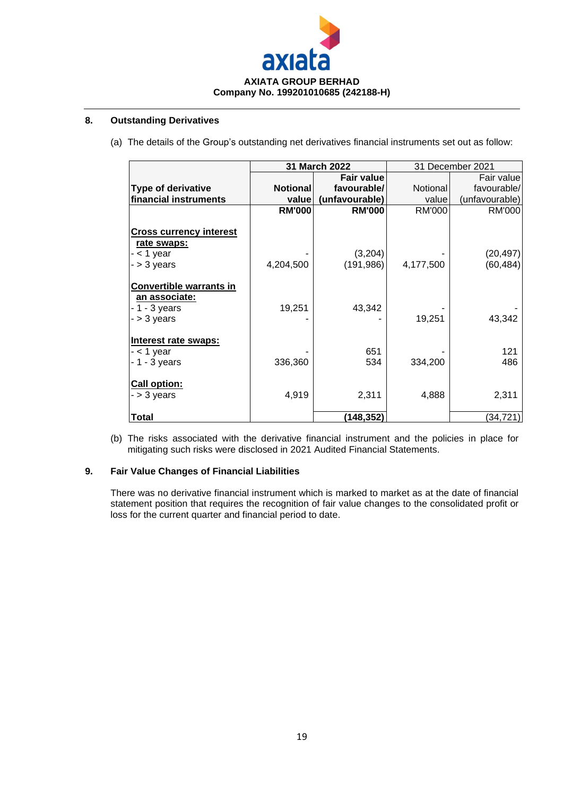

## **8. Outstanding Derivatives**

(a) The details of the Group's outstanding net derivatives financial instruments set out as follow:

|                                                                                        |                 | 31 March 2022     |               | 31 December 2021 |
|----------------------------------------------------------------------------------------|-----------------|-------------------|---------------|------------------|
|                                                                                        |                 | <b>Fair value</b> |               | Fair value       |
| <b>Type of derivative</b>                                                              | <b>Notional</b> | favourable/       | Notional      | favourable/      |
| financial instruments                                                                  | value           | (unfavourable)    | value         | (unfavourable)   |
|                                                                                        | <b>RM'000</b>   | <b>RM'000</b>     | <b>RM'000</b> | RM'000           |
| Cross currency interest<br>rate swaps:                                                 |                 |                   |               |                  |
| - < 1 year                                                                             |                 | (3,204)           |               | (20, 497)        |
| $-$ > 3 years                                                                          | 4,204,500       | (191, 986)        | 4,177,500     | (60, 484)        |
| <b>Convertible warrants in</b><br><u>an associate:</u><br>- 1 - 3 years<br>- > 3 years | 19,251          | 43,342            | 19,251        | 43,342           |
| Interest rate swaps:                                                                   |                 |                   |               |                  |
| $-$ < 1 year                                                                           |                 | 651               |               | 121              |
| $-1 - 3$ years                                                                         | 336,360         | 534               | 334,200       | 486              |
| <b>Call option:</b><br>- > 3 vears                                                     | 4,919           | 2,311             | 4,888         | 2,311            |
| Total                                                                                  |                 | (148,352)         |               | (34,721)         |

(b) The risks associated with the derivative financial instrument and the policies in place for mitigating such risks were disclosed in 2021 Audited Financial Statements.

## **9. Fair Value Changes of Financial Liabilities**

There was no derivative financial instrument which is marked to market as at the date of financial statement position that requires the recognition of fair value changes to the consolidated profit or loss for the current quarter and financial period to date.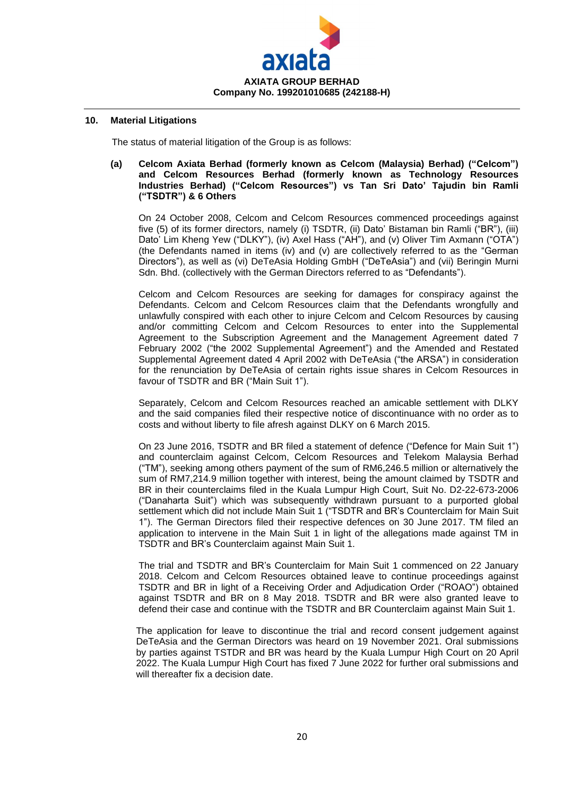

## **10. Material Litigations**

The status of material litigation of the Group is as follows:

#### **(a) Celcom Axiata Berhad (formerly known as Celcom (Malaysia) Berhad) ("Celcom") and Celcom Resources Berhad (formerly known as Technology Resources Industries Berhad) ("Celcom Resources") vs Tan Sri Dato' Tajudin bin Ramli ("TSDTR") & 6 Others**

On 24 October 2008, Celcom and Celcom Resources commenced proceedings against five (5) of its former directors, namely (i) TSDTR, (ii) Dato' Bistaman bin Ramli ("BR"), (iii) Dato' Lim Kheng Yew ("DLKY"), (iv) Axel Hass ("AH"), and (v) Oliver Tim Axmann ("OTA") (the Defendants named in items (iv) and (v) are collectively referred to as the "German Directors"), as well as (vi) DeTeAsia Holding GmbH ("DeTeAsia") and (vii) Beringin Murni Sdn. Bhd. (collectively with the German Directors referred to as "Defendants").

Celcom and Celcom Resources are seeking for damages for conspiracy against the Defendants. Celcom and Celcom Resources claim that the Defendants wrongfully and unlawfully conspired with each other to injure Celcom and Celcom Resources by causing and/or committing Celcom and Celcom Resources to enter into the Supplemental Agreement to the Subscription Agreement and the Management Agreement dated 7 February 2002 ("the 2002 Supplemental Agreement") and the Amended and Restated Supplemental Agreement dated 4 April 2002 with DeTeAsia ("the ARSA") in consideration for the renunciation by DeTeAsia of certain rights issue shares in Celcom Resources in favour of TSDTR and BR ("Main Suit 1").

Separately, Celcom and Celcom Resources reached an amicable settlement with DLKY and the said companies filed their respective notice of discontinuance with no order as to costs and without liberty to file afresh against DLKY on 6 March 2015.

On 23 June 2016, TSDTR and BR filed a statement of defence ("Defence for Main Suit 1") and counterclaim against Celcom, Celcom Resources and Telekom Malaysia Berhad ("TM"), seeking among others payment of the sum of RM6,246.5 million or alternatively the sum of RM7,214.9 million together with interest, being the amount claimed by TSDTR and BR in their counterclaims filed in the Kuala Lumpur High Court, Suit No. D2-22-673-2006 ("Danaharta Suit") which was subsequently withdrawn pursuant to a purported global settlement which did not include Main Suit 1 ("TSDTR and BR's Counterclaim for Main Suit 1"). The German Directors filed their respective defences on 30 June 2017. TM filed an application to intervene in the Main Suit 1 in light of the allegations made against TM in TSDTR and BR's Counterclaim against Main Suit 1.

The trial and TSDTR and BR's Counterclaim for Main Suit 1 commenced on 22 January 2018. Celcom and Celcom Resources obtained leave to continue proceedings against TSDTR and BR in light of a Receiving Order and Adjudication Order ("ROAO") obtained against TSDTR and BR on 8 May 2018. TSDTR and BR were also granted leave to defend their case and continue with the TSDTR and BR Counterclaim against Main Suit 1.

The application for leave to discontinue the trial and record consent judgement against DeTeAsia and the German Directors was heard on 19 November 2021. Oral submissions by parties against TSTDR and BR was heard by the Kuala Lumpur High Court on 20 April 2022. The Kuala Lumpur High Court has fixed 7 June 2022 for further oral submissions and will thereafter fix a decision date.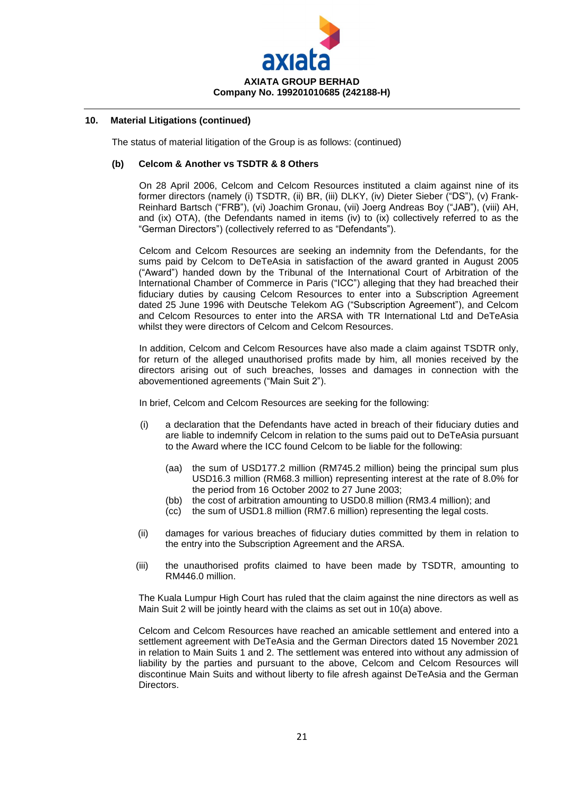

The status of material litigation of the Group is as follows: (continued)

#### **(b) Celcom & Another vs TSDTR & 8 Others**

On 28 April 2006, Celcom and Celcom Resources instituted a claim against nine of its former directors (namely (i) TSDTR, (ii) BR, (iii) DLKY, (iv) Dieter Sieber ("DS"), (v) Frank-Reinhard Bartsch ("FRB"), (vi) Joachim Gronau, (vii) Joerg Andreas Boy ("JAB"), (viii) AH, and (ix) OTA), (the Defendants named in items (iv) to (ix) collectively referred to as the "German Directors") (collectively referred to as "Defendants").

Celcom and Celcom Resources are seeking an indemnity from the Defendants, for the sums paid by Celcom to DeTeAsia in satisfaction of the award granted in August 2005 ("Award") handed down by the Tribunal of the International Court of Arbitration of the International Chamber of Commerce in Paris ("ICC") alleging that they had breached their fiduciary duties by causing Celcom Resources to enter into a Subscription Agreement dated 25 June 1996 with Deutsche Telekom AG ("Subscription Agreement"), and Celcom and Celcom Resources to enter into the ARSA with TR International Ltd and DeTeAsia whilst they were directors of Celcom and Celcom Resources.

In addition, Celcom and Celcom Resources have also made a claim against TSDTR only, for return of the alleged unauthorised profits made by him, all monies received by the directors arising out of such breaches, losses and damages in connection with the abovementioned agreements ("Main Suit 2").

In brief, Celcom and Celcom Resources are seeking for the following:

- (i) a declaration that the Defendants have acted in breach of their fiduciary duties and are liable to indemnify Celcom in relation to the sums paid out to DeTeAsia pursuant to the Award where the ICC found Celcom to be liable for the following:
	- (aa) the sum of USD177.2 million (RM745.2 million) being the principal sum plus USD16.3 million (RM68.3 million) representing interest at the rate of 8.0% for the period from 16 October 2002 to 27 June 2003;
	- (bb) the cost of arbitration amounting to USD0.8 million (RM3.4 million); and
	- (cc) the sum of USD1.8 million (RM7.6 million) representing the legal costs.
- (ii) damages for various breaches of fiduciary duties committed by them in relation to the entry into the Subscription Agreement and the ARSA.
- (iii) the unauthorised profits claimed to have been made by TSDTR, amounting to RM446.0 million.

The Kuala Lumpur High Court has ruled that the claim against the nine directors as well as Main Suit 2 will be jointly heard with the claims as set out in 10(a) above.

Celcom and Celcom Resources have reached an amicable settlement and entered into a settlement agreement with DeTeAsia and the German Directors dated 15 November 2021 in relation to Main Suits 1 and 2. The settlement was entered into without any admission of liability by the parties and pursuant to the above, Celcom and Celcom Resources will discontinue Main Suits and without liberty to file afresh against DeTeAsia and the German Directors.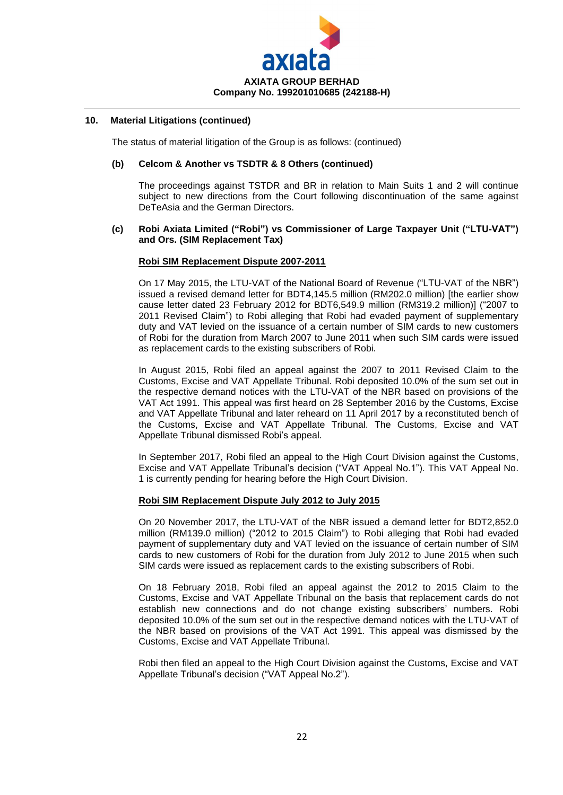

The status of material litigation of the Group is as follows: (continued)

#### **(b) Celcom & Another vs TSDTR & 8 Others (continued)**

The proceedings against TSTDR and BR in relation to Main Suits 1 and 2 will continue subject to new directions from the Court following discontinuation of the same against DeTeAsia and the German Directors.

#### **(c) Robi Axiata Limited ("Robi") vs Commissioner of Large Taxpayer Unit ("LTU-VAT") and Ors. (SIM Replacement Tax)**

#### **Robi SIM Replacement Dispute 2007-2011**

On 17 May 2015, the LTU-VAT of the National Board of Revenue ("LTU-VAT of the NBR") issued a revised demand letter for BDT4,145.5 million (RM202.0 million) [the earlier show cause letter dated 23 February 2012 for BDT6,549.9 million (RM319.2 million)] ("2007 to 2011 Revised Claim") to Robi alleging that Robi had evaded payment of supplementary duty and VAT levied on the issuance of a certain number of SIM cards to new customers of Robi for the duration from March 2007 to June 2011 when such SIM cards were issued as replacement cards to the existing subscribers of Robi.

In August 2015, Robi filed an appeal against the 2007 to 2011 Revised Claim to the Customs, Excise and VAT Appellate Tribunal. Robi deposited 10.0% of the sum set out in the respective demand notices with the LTU-VAT of the NBR based on provisions of the VAT Act 1991. This appeal was first heard on 28 September 2016 by the Customs, Excise and VAT Appellate Tribunal and later reheard on 11 April 2017 by a reconstituted bench of the Customs, Excise and VAT Appellate Tribunal. The Customs, Excise and VAT Appellate Tribunal dismissed Robi's appeal.

In September 2017, Robi filed an appeal to the High Court Division against the Customs, Excise and VAT Appellate Tribunal's decision ("VAT Appeal No.1"). This VAT Appeal No. 1 is currently pending for hearing before the High Court Division.

#### **Robi SIM Replacement Dispute July 2012 to July 2015**

On 20 November 2017, the LTU-VAT of the NBR issued a demand letter for BDT2,852.0 million (RM139.0 million) ("2012 to 2015 Claim") to Robi alleging that Robi had evaded payment of supplementary duty and VAT levied on the issuance of certain number of SIM cards to new customers of Robi for the duration from July 2012 to June 2015 when such SIM cards were issued as replacement cards to the existing subscribers of Robi.

On 18 February 2018, Robi filed an appeal against the 2012 to 2015 Claim to the Customs, Excise and VAT Appellate Tribunal on the basis that replacement cards do not establish new connections and do not change existing subscribers' numbers. Robi deposited 10.0% of the sum set out in the respective demand notices with the LTU-VAT of the NBR based on provisions of the VAT Act 1991. This appeal was dismissed by the Customs, Excise and VAT Appellate Tribunal.

Robi then filed an appeal to the High Court Division against the Customs, Excise and VAT Appellate Tribunal's decision ("VAT Appeal No.2").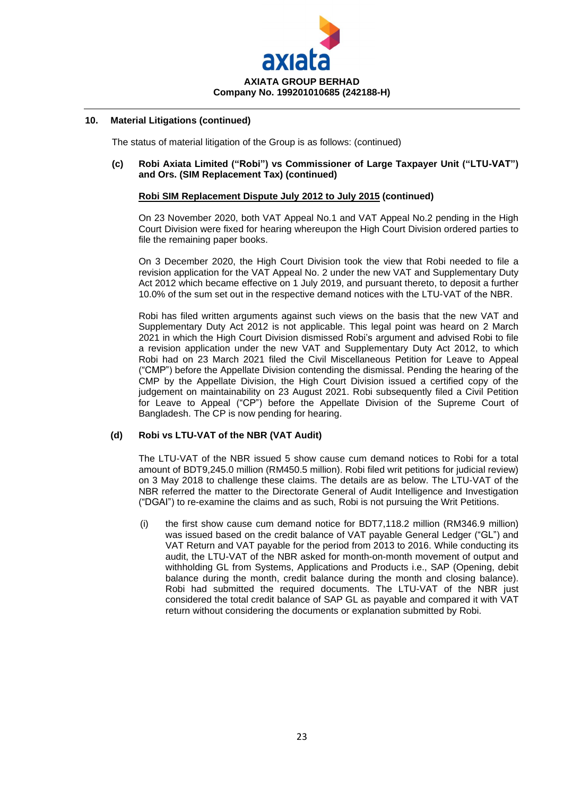

The status of material litigation of the Group is as follows: (continued)

#### **(c) Robi Axiata Limited ("Robi") vs Commissioner of Large Taxpayer Unit ("LTU-VAT") and Ors. (SIM Replacement Tax) (continued)**

#### **Robi SIM Replacement Dispute July 2012 to July 2015 (continued)**

On 23 November 2020, both VAT Appeal No.1 and VAT Appeal No.2 pending in the High Court Division were fixed for hearing whereupon the High Court Division ordered parties to file the remaining paper books.

On 3 December 2020, the High Court Division took the view that Robi needed to file a revision application for the VAT Appeal No. 2 under the new VAT and Supplementary Duty Act 2012 which became effective on 1 July 2019, and pursuant thereto, to deposit a further 10.0% of the sum set out in the respective demand notices with the LTU-VAT of the NBR.

Robi has filed written arguments against such views on the basis that the new VAT and Supplementary Duty Act 2012 is not applicable. This legal point was heard on 2 March 2021 in which the High Court Division dismissed Robi's argument and advised Robi to file a revision application under the new VAT and Supplementary Duty Act 2012, to which Robi had on 23 March 2021 filed the Civil Miscellaneous Petition for Leave to Appeal ("CMP") before the Appellate Division contending the dismissal. Pending the hearing of the CMP by the Appellate Division, the High Court Division issued a certified copy of the judgement on maintainability on 23 August 2021. Robi subsequently filed a Civil Petition for Leave to Appeal ("CP") before the Appellate Division of the Supreme Court of Bangladesh. The CP is now pending for hearing.

## **(d) Robi vs LTU-VAT of the NBR (VAT Audit)**

The LTU-VAT of the NBR issued 5 show cause cum demand notices to Robi for a total amount of BDT9,245.0 million (RM450.5 million). Robi filed writ petitions for judicial review) on 3 May 2018 to challenge these claims. The details are as below. The LTU-VAT of the NBR referred the matter to the Directorate General of Audit Intelligence and Investigation ("DGAI") to re-examine the claims and as such, Robi is not pursuing the Writ Petitions.

(i) the first show cause cum demand notice for BDT7,118.2 million (RM346.9 million) was issued based on the credit balance of VAT payable General Ledger ("GL") and VAT Return and VAT payable for the period from 2013 to 2016. While conducting its audit, the LTU-VAT of the NBR asked for month-on-month movement of output and withholding GL from Systems, Applications and Products i.e., SAP (Opening, debit balance during the month, credit balance during the month and closing balance). Robi had submitted the required documents. The LTU-VAT of the NBR just considered the total credit balance of SAP GL as payable and compared it with VAT return without considering the documents or explanation submitted by Robi.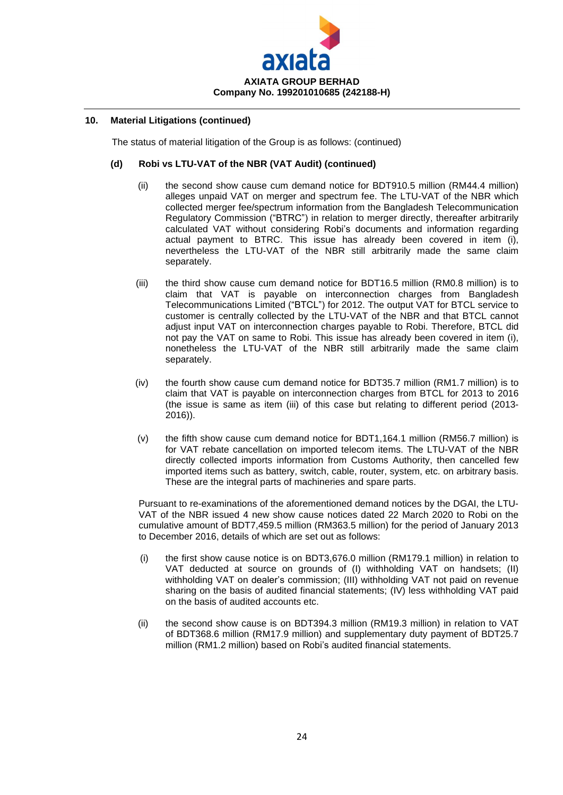

The status of material litigation of the Group is as follows: (continued)

## **(d) Robi vs LTU-VAT of the NBR (VAT Audit) (continued)**

- (ii) the second show cause cum demand notice for BDT910.5 million (RM44.4 million) alleges unpaid VAT on merger and spectrum fee. The LTU-VAT of the NBR which collected merger fee/spectrum information from the Bangladesh Telecommunication Regulatory Commission ("BTRC") in relation to merger directly, thereafter arbitrarily calculated VAT without considering Robi's documents and information regarding actual payment to BTRC. This issue has already been covered in item (i), nevertheless the LTU-VAT of the NBR still arbitrarily made the same claim separately.
- (iii) the third show cause cum demand notice for BDT16.5 million (RM0.8 million) is to claim that VAT is payable on interconnection charges from Bangladesh Telecommunications Limited ("BTCL") for 2012. The output VAT for BTCL service to customer is centrally collected by the LTU-VAT of the NBR and that BTCL cannot adjust input VAT on interconnection charges payable to Robi. Therefore, BTCL did not pay the VAT on same to Robi. This issue has already been covered in item (i), nonetheless the LTU-VAT of the NBR still arbitrarily made the same claim separately.
- (iv) the fourth show cause cum demand notice for BDT35.7 million (RM1.7 million) is to claim that VAT is payable on interconnection charges from BTCL for 2013 to 2016 (the issue is same as item (iii) of this case but relating to different period (2013- 2016)).
- (v) the fifth show cause cum demand notice for BDT1,164.1 million (RM56.7 million) is for VAT rebate cancellation on imported telecom items. The LTU-VAT of the NBR directly collected imports information from Customs Authority, then cancelled few imported items such as battery, switch, cable, router, system, etc. on arbitrary basis. These are the integral parts of machineries and spare parts.

Pursuant to re-examinations of the aforementioned demand notices by the DGAI, the LTU-VAT of the NBR issued 4 new show cause notices dated 22 March 2020 to Robi on the cumulative amount of BDT7,459.5 million (RM363.5 million) for the period of January 2013 to December 2016, details of which are set out as follows:

- (i) the first show cause notice is on BDT3,676.0 million (RM179.1 million) in relation to VAT deducted at source on grounds of (I) withholding VAT on handsets; (II) withholding VAT on dealer's commission; (III) withholding VAT not paid on revenue sharing on the basis of audited financial statements; (IV) less withholding VAT paid on the basis of audited accounts etc.
- (ii) the second show cause is on BDT394.3 million (RM19.3 million) in relation to VAT of BDT368.6 million (RM17.9 million) and supplementary duty payment of BDT25.7 million (RM1.2 million) based on Robi's audited financial statements.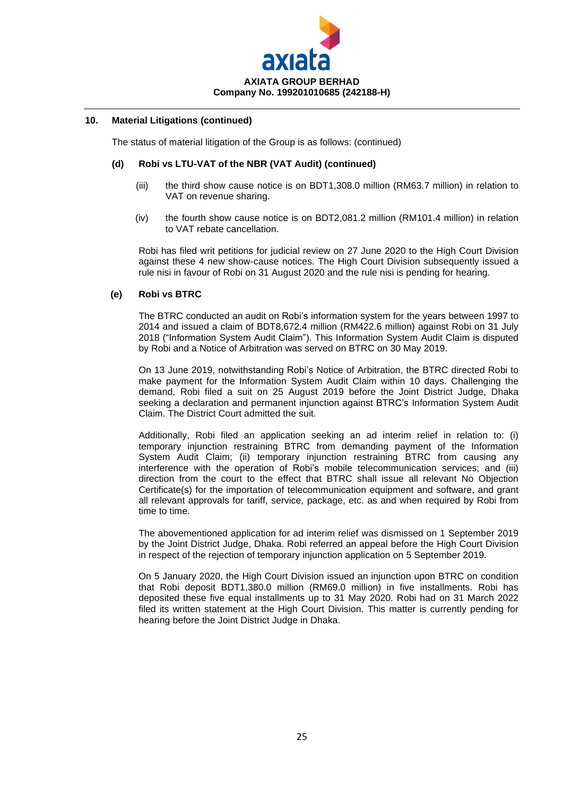

The status of material litigation of the Group is as follows: (continued)

#### **(d) Robi vs LTU-VAT of the NBR (VAT Audit) (continued)**

- (iii) the third show cause notice is on BDT1,308.0 million (RM63.7 million) in relation to VAT on revenue sharing.
- (iv) the fourth show cause notice is on BDT2,081.2 million (RM101.4 million) in relation to VAT rebate cancellation.

Robi has filed writ petitions for judicial review on 27 June 2020 to the High Court Division against these 4 new show-cause notices. The High Court Division subsequently issued a rule nisi in favour of Robi on 31 August 2020 and the rule nisi is pending for hearing.

#### **(e) Robi vs BTRC**

The BTRC conducted an audit on Robi's information system for the years between 1997 to 2014 and issued a claim of BDT8,672.4 million (RM422.6 million) against Robi on 31 July 2018 ("Information System Audit Claim"). This Information System Audit Claim is disputed by Robi and a Notice of Arbitration was served on BTRC on 30 May 2019.

On 13 June 2019, notwithstanding Robi's Notice of Arbitration, the BTRC directed Robi to make payment for the Information System Audit Claim within 10 days. Challenging the demand, Robi filed a suit on 25 August 2019 before the Joint District Judge, Dhaka seeking a declaration and permanent injunction against BTRC's Information System Audit Claim. The District Court admitted the suit.

Additionally, Robi filed an application seeking an ad interim relief in relation to: (i) temporary injunction restraining BTRC from demanding payment of the Information System Audit Claim; (ii) temporary injunction restraining BTRC from causing any interference with the operation of Robi's mobile telecommunication services; and (iii) direction from the court to the effect that BTRC shall issue all relevant No Objection Certificate(s) for the importation of telecommunication equipment and software, and grant all relevant approvals for tariff, service, package, etc. as and when required by Robi from time to time.

The abovementioned application for ad interim relief was dismissed on 1 September 2019 by the Joint District Judge, Dhaka. Robi referred an appeal before the High Court Division in respect of the rejection of temporary injunction application on 5 September 2019.

On 5 January 2020, the High Court Division issued an injunction upon BTRC on condition that Robi deposit BDT1,380.0 million (RM69.0 million) in five installments. Robi has deposited these five equal installments up to 31 May 2020. Robi had on 31 March 2022 filed its written statement at the High Court Division. This matter is currently pending for hearing before the Joint District Judge in Dhaka.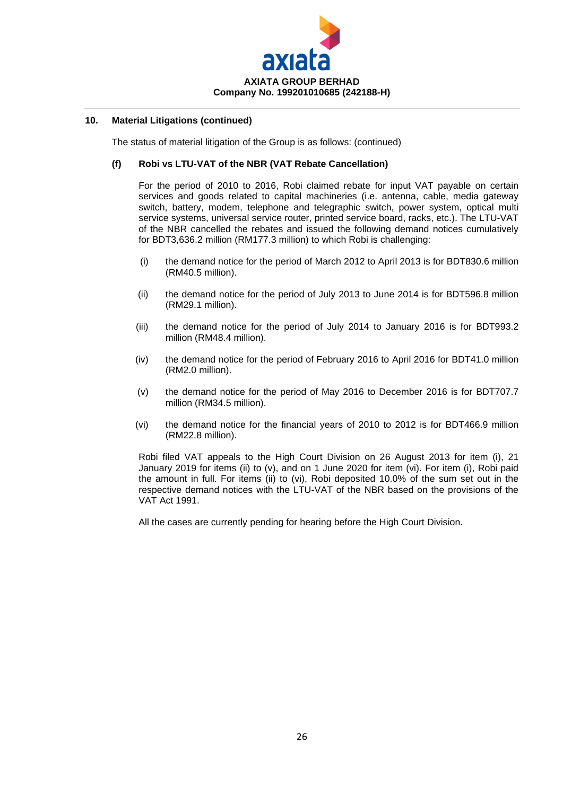

The status of material litigation of the Group is as follows: (continued)

#### **(f) Robi vs LTU-VAT of the NBR (VAT Rebate Cancellation)**

For the period of 2010 to 2016, Robi claimed rebate for input VAT payable on certain services and goods related to capital machineries (i.e. antenna, cable, media gateway switch, battery, modem, telephone and telegraphic switch, power system, optical multi service systems, universal service router, printed service board, racks, etc.). The LTU-VAT of the NBR cancelled the rebates and issued the following demand notices cumulatively for BDT3,636.2 million (RM177.3 million) to which Robi is challenging:

- (i) the demand notice for the period of March 2012 to April 2013 is for BDT830.6 million (RM40.5 million).
- (ii) the demand notice for the period of July 2013 to June 2014 is for BDT596.8 million (RM29.1 million).
- (iii) the demand notice for the period of July 2014 to January 2016 is for BDT993.2 million (RM48.4 million).
- (iv) the demand notice for the period of February 2016 to April 2016 for BDT41.0 million (RM2.0 million).
- (v) the demand notice for the period of May 2016 to December 2016 is for BDT707.7 million (RM34.5 million).
- (vi) the demand notice for the financial years of 2010 to 2012 is for BDT466.9 million (RM22.8 million).

Robi filed VAT appeals to the High Court Division on 26 August 2013 for item (i), 21 January 2019 for items (ii) to (v), and on 1 June 2020 for item (vi). For item (i), Robi paid the amount in full. For items (ii) to (vi), Robi deposited 10.0% of the sum set out in the respective demand notices with the LTU-VAT of the NBR based on the provisions of the VAT Act 1991.

All the cases are currently pending for hearing before the High Court Division.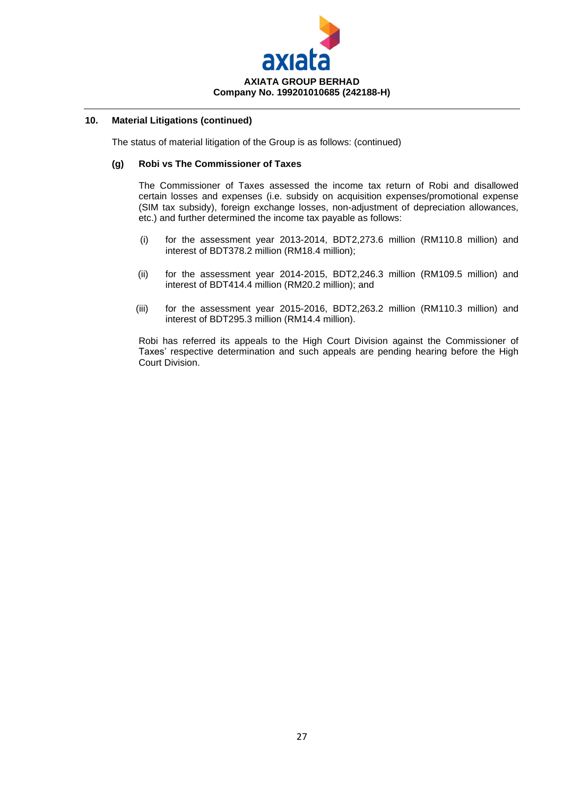

The status of material litigation of the Group is as follows: (continued)

#### **(g) Robi vs The Commissioner of Taxes**

The Commissioner of Taxes assessed the income tax return of Robi and disallowed certain losses and expenses (i.e. subsidy on acquisition expenses/promotional expense (SIM tax subsidy), foreign exchange losses, non-adjustment of depreciation allowances, etc.) and further determined the income tax payable as follows:

- (i) for the assessment year 2013-2014, BDT2,273.6 million (RM110.8 million) and interest of BDT378.2 million (RM18.4 million);
- (ii) for the assessment year 2014-2015, BDT2,246.3 million (RM109.5 million) and interest of BDT414.4 million (RM20.2 million); and
- (iii) for the assessment year 2015-2016, BDT2,263.2 million (RM110.3 million) and interest of BDT295.3 million (RM14.4 million).

Robi has referred its appeals to the High Court Division against the Commissioner of Taxes' respective determination and such appeals are pending hearing before the High Court Division.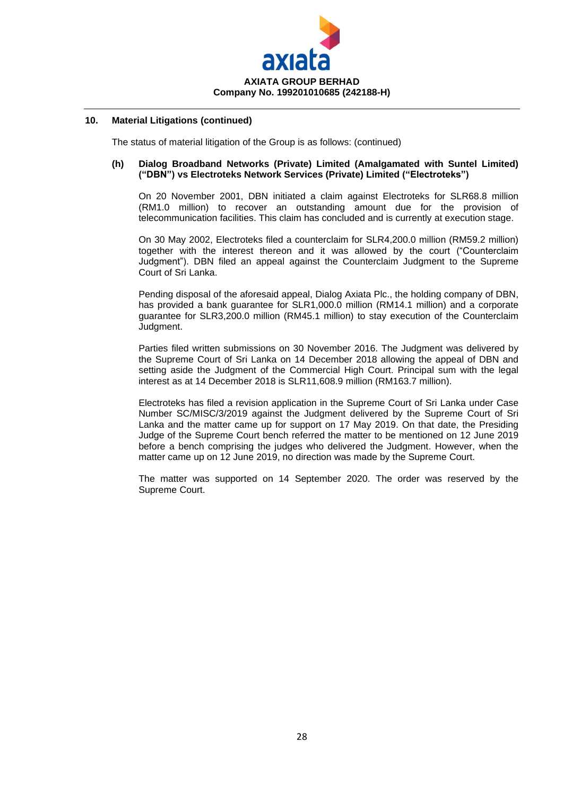

The status of material litigation of the Group is as follows: (continued)

#### **(h) Dialog Broadband Networks (Private) Limited (Amalgamated with Suntel Limited) ("DBN") vs Electroteks Network Services (Private) Limited ("Electroteks")**

On 20 November 2001, DBN initiated a claim against Electroteks for SLR68.8 million (RM1.0 million) to recover an outstanding amount due for the provision of telecommunication facilities. This claim has concluded and is currently at execution stage.

On 30 May 2002, Electroteks filed a counterclaim for SLR4,200.0 million (RM59.2 million) together with the interest thereon and it was allowed by the court ("Counterclaim Judgment"). DBN filed an appeal against the Counterclaim Judgment to the Supreme Court of Sri Lanka.

Pending disposal of the aforesaid appeal, Dialog Axiata Plc., the holding company of DBN, has provided a bank guarantee for SLR1,000.0 million (RM14.1 million) and a corporate guarantee for SLR3,200.0 million (RM45.1 million) to stay execution of the Counterclaim Judgment.

Parties filed written submissions on 30 November 2016. The Judgment was delivered by the Supreme Court of Sri Lanka on 14 December 2018 allowing the appeal of DBN and setting aside the Judgment of the Commercial High Court. Principal sum with the legal interest as at 14 December 2018 is SLR11,608.9 million (RM163.7 million).

Electroteks has filed a revision application in the Supreme Court of Sri Lanka under Case Number SC/MISC/3/2019 against the Judgment delivered by the Supreme Court of Sri Lanka and the matter came up for support on 17 May 2019. On that date, the Presiding Judge of the Supreme Court bench referred the matter to be mentioned on 12 June 2019 before a bench comprising the judges who delivered the Judgment. However, when the matter came up on 12 June 2019, no direction was made by the Supreme Court.

The matter was supported on 14 September 2020. The order was reserved by the Supreme Court.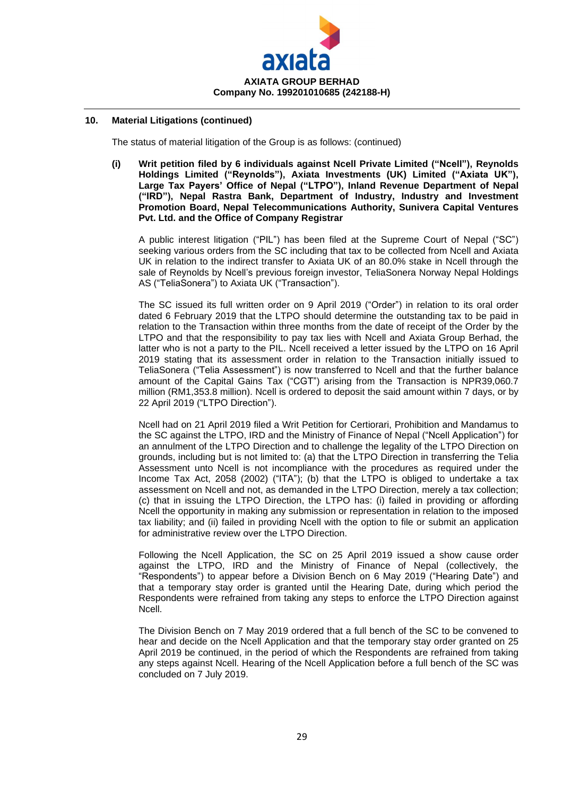

The status of material litigation of the Group is as follows: (continued)

**(i) Writ petition filed by 6 individuals against Ncell Private Limited ("Ncell"), Reynolds Holdings Limited ("Reynolds"), Axiata Investments (UK) Limited ("Axiata UK"), Large Tax Payers' Office of Nepal ("LTPO"), Inland Revenue Department of Nepal ("IRD"), Nepal Rastra Bank, Department of Industry, Industry and Investment Promotion Board, Nepal Telecommunications Authority, Sunivera Capital Ventures Pvt. Ltd. and the Office of Company Registrar**

A public interest litigation ("PIL") has been filed at the Supreme Court of Nepal ("SC") seeking various orders from the SC including that tax to be collected from Ncell and Axiata UK in relation to the indirect transfer to Axiata UK of an 80.0% stake in Ncell through the sale of Reynolds by Ncell's previous foreign investor, TeliaSonera Norway Nepal Holdings AS ("TeliaSonera") to Axiata UK ("Transaction").

The SC issued its full written order on 9 April 2019 ("Order") in relation to its oral order dated 6 February 2019 that the LTPO should determine the outstanding tax to be paid in relation to the Transaction within three months from the date of receipt of the Order by the LTPO and that the responsibility to pay tax lies with Ncell and Axiata Group Berhad, the latter who is not a party to the PIL. Ncell received a letter issued by the LTPO on 16 April 2019 stating that its assessment order in relation to the Transaction initially issued to TeliaSonera ("Telia Assessment") is now transferred to Ncell and that the further balance amount of the Capital Gains Tax ("CGT") arising from the Transaction is NPR39,060.7 million (RM1,353.8 million). Ncell is ordered to deposit the said amount within 7 days, or by 22 April 2019 ("LTPO Direction").

Ncell had on 21 April 2019 filed a Writ Petition for Certiorari, Prohibition and Mandamus to the SC against the LTPO, IRD and the Ministry of Finance of Nepal ("Ncell Application") for an annulment of the LTPO Direction and to challenge the legality of the LTPO Direction on grounds, including but is not limited to: (a) that the LTPO Direction in transferring the Telia Assessment unto Ncell is not incompliance with the procedures as required under the Income Tax Act, 2058 (2002) ("ITA"); (b) that the LTPO is obliged to undertake a tax assessment on Ncell and not, as demanded in the LTPO Direction, merely a tax collection; (c) that in issuing the LTPO Direction, the LTPO has: (i) failed in providing or affording Ncell the opportunity in making any submission or representation in relation to the imposed tax liability; and (ii) failed in providing Ncell with the option to file or submit an application for administrative review over the LTPO Direction.

Following the Ncell Application, the SC on 25 April 2019 issued a show cause order against the LTPO, IRD and the Ministry of Finance of Nepal (collectively, the "Respondents") to appear before a Division Bench on 6 May 2019 ("Hearing Date") and that a temporary stay order is granted until the Hearing Date, during which period the Respondents were refrained from taking any steps to enforce the LTPO Direction against Ncell.

The Division Bench on 7 May 2019 ordered that a full bench of the SC to be convened to hear and decide on the Ncell Application and that the temporary stay order granted on 25 April 2019 be continued, in the period of which the Respondents are refrained from taking any steps against Ncell. Hearing of the Ncell Application before a full bench of the SC was concluded on 7 July 2019.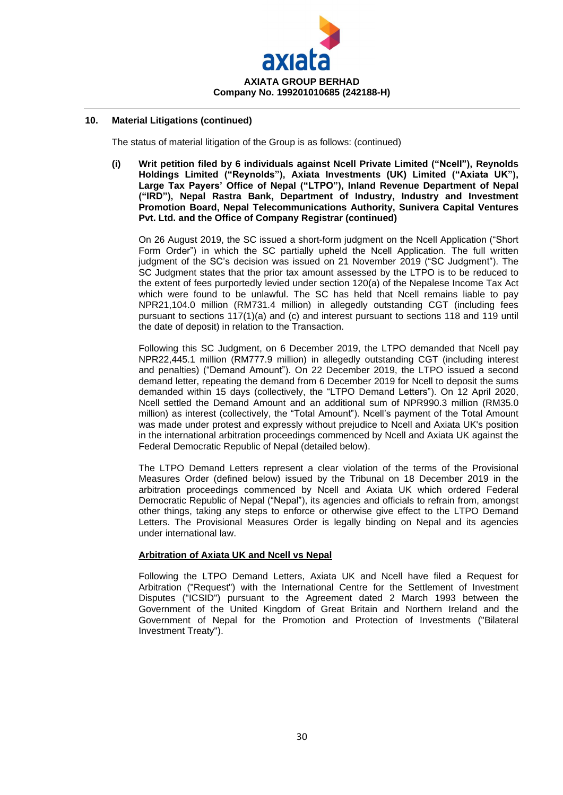

The status of material litigation of the Group is as follows: (continued)

**(i) Writ petition filed by 6 individuals against Ncell Private Limited ("Ncell"), Reynolds Holdings Limited ("Reynolds"), Axiata Investments (UK) Limited ("Axiata UK"), Large Tax Payers' Office of Nepal ("LTPO"), Inland Revenue Department of Nepal ("IRD"), Nepal Rastra Bank, Department of Industry, Industry and Investment Promotion Board, Nepal Telecommunications Authority, Sunivera Capital Ventures Pvt. Ltd. and the Office of Company Registrar (continued)**

On 26 August 2019, the SC issued a short-form judgment on the Ncell Application ("Short Form Order") in which the SC partially upheld the Ncell Application. The full written judgment of the SC's decision was issued on 21 November 2019 ("SC Judgment"). The SC Judgment states that the prior tax amount assessed by the LTPO is to be reduced to the extent of fees purportedly levied under section 120(a) of the Nepalese Income Tax Act which were found to be unlawful. The SC has held that Ncell remains liable to pay NPR21,104.0 million (RM731.4 million) in allegedly outstanding CGT (including fees pursuant to sections 117(1)(a) and (c) and interest pursuant to sections 118 and 119 until the date of deposit) in relation to the Transaction.

Following this SC Judgment, on 6 December 2019, the LTPO demanded that Ncell pay NPR22,445.1 million (RM777.9 million) in allegedly outstanding CGT (including interest and penalties) ("Demand Amount"). On 22 December 2019, the LTPO issued a second demand letter, repeating the demand from 6 December 2019 for Ncell to deposit the sums demanded within 15 days (collectively, the "LTPO Demand Letters"). On 12 April 2020, Ncell settled the Demand Amount and an additional sum of NPR990.3 million (RM35.0 million) as interest (collectively, the "Total Amount"). Ncell's payment of the Total Amount was made under protest and expressly without prejudice to Ncell and Axiata UK's position in the international arbitration proceedings commenced by Ncell and Axiata UK against the Federal Democratic Republic of Nepal (detailed below).

The LTPO Demand Letters represent a clear violation of the terms of the Provisional Measures Order (defined below) issued by the Tribunal on 18 December 2019 in the arbitration proceedings commenced by Ncell and Axiata UK which ordered Federal Democratic Republic of Nepal ("Nepal"), its agencies and officials to refrain from, amongst other things, taking any steps to enforce or otherwise give effect to the LTPO Demand Letters. The Provisional Measures Order is legally binding on Nepal and its agencies under international law.

#### **Arbitration of Axiata UK and Ncell vs Nepal**

Following the LTPO Demand Letters, Axiata UK and Ncell have filed a Request for Arbitration ("Request") with the International Centre for the Settlement of Investment Disputes ("ICSID") pursuant to the Agreement dated 2 March 1993 between the Government of the United Kingdom of Great Britain and Northern Ireland and the Government of Nepal for the Promotion and Protection of Investments ("Bilateral Investment Treaty").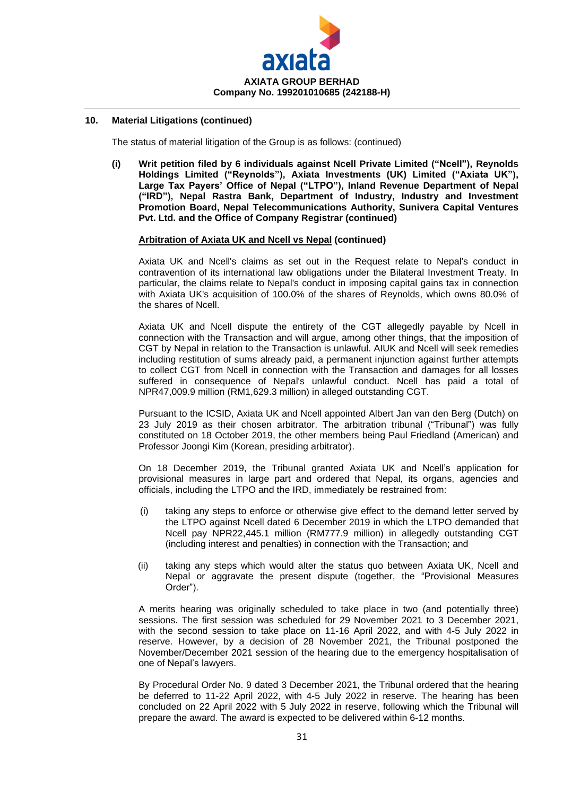

The status of material litigation of the Group is as follows: (continued)

**(i) Writ petition filed by 6 individuals against Ncell Private Limited ("Ncell"), Reynolds Holdings Limited ("Reynolds"), Axiata Investments (UK) Limited ("Axiata UK"), Large Tax Payers' Office of Nepal ("LTPO"), Inland Revenue Department of Nepal ("IRD"), Nepal Rastra Bank, Department of Industry, Industry and Investment Promotion Board, Nepal Telecommunications Authority, Sunivera Capital Ventures Pvt. Ltd. and the Office of Company Registrar (continued)**

#### **Arbitration of Axiata UK and Ncell vs Nepal (continued)**

Axiata UK and Ncell's claims as set out in the Request relate to Nepal's conduct in contravention of its international law obligations under the Bilateral Investment Treaty. In particular, the claims relate to Nepal's conduct in imposing capital gains tax in connection with Axiata UK's acquisition of 100.0% of the shares of Reynolds, which owns 80.0% of the shares of Ncell.

Axiata UK and Ncell dispute the entirety of the CGT allegedly payable by Ncell in connection with the Transaction and will argue, among other things, that the imposition of CGT by Nepal in relation to the Transaction is unlawful. AIUK and Ncell will seek remedies including restitution of sums already paid, a permanent injunction against further attempts to collect CGT from Ncell in connection with the Transaction and damages for all losses suffered in consequence of Nepal's unlawful conduct. Ncell has paid a total of NPR47,009.9 million (RM1,629.3 million) in alleged outstanding CGT.

Pursuant to the ICSID, Axiata UK and Ncell appointed Albert Jan van den Berg (Dutch) on 23 July 2019 as their chosen arbitrator. The arbitration tribunal ("Tribunal") was fully constituted on 18 October 2019, the other members being Paul Friedland (American) and Professor Joongi Kim (Korean, presiding arbitrator).

On 18 December 2019, the Tribunal granted Axiata UK and Ncell's application for provisional measures in large part and ordered that Nepal, its organs, agencies and officials, including the LTPO and the IRD, immediately be restrained from:

- (i) taking any steps to enforce or otherwise give effect to the demand letter served by the LTPO against Ncell dated 6 December 2019 in which the LTPO demanded that Ncell pay NPR22,445.1 million (RM777.9 million) in allegedly outstanding CGT (including interest and penalties) in connection with the Transaction; and
- (ii) taking any steps which would alter the status quo between Axiata UK, Ncell and Nepal or aggravate the present dispute (together, the "Provisional Measures Order").

A merits hearing was originally scheduled to take place in two (and potentially three) sessions. The first session was scheduled for 29 November 2021 to 3 December 2021, with the second session to take place on 11-16 April 2022, and with 4-5 July 2022 in reserve. However, by a decision of 28 November 2021, the Tribunal postponed the November/December 2021 session of the hearing due to the emergency hospitalisation of one of Nepal's lawyers.

By Procedural Order No. 9 dated 3 December 2021, the Tribunal ordered that the hearing be deferred to 11-22 April 2022, with 4-5 July 2022 in reserve. The hearing has been concluded on 22 April 2022 with 5 July 2022 in reserve, following which the Tribunal will prepare the award. The award is expected to be delivered within 6-12 months.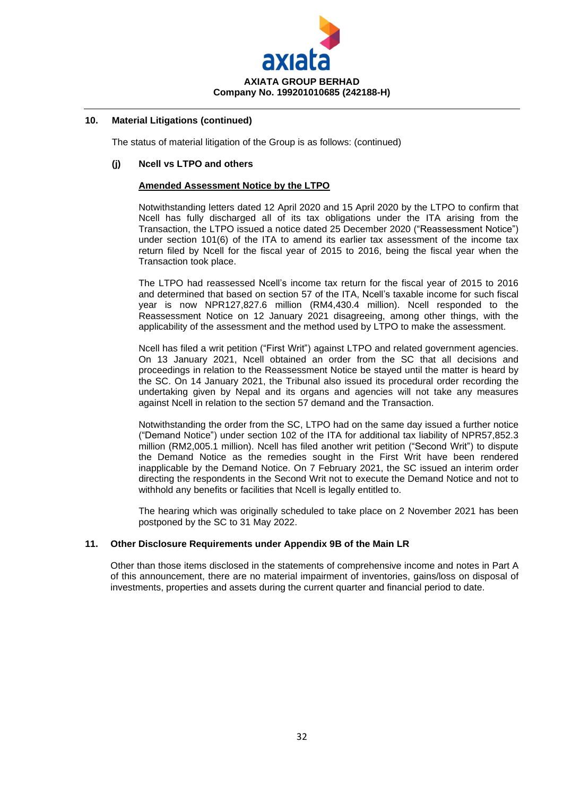

The status of material litigation of the Group is as follows: (continued)

#### **(j) Ncell vs LTPO and others**

## **Amended Assessment Notice by the LTPO**

Notwithstanding letters dated 12 April 2020 and 15 April 2020 by the LTPO to confirm that Ncell has fully discharged all of its tax obligations under the ITA arising from the Transaction, the LTPO issued a notice dated 25 December 2020 ("Reassessment Notice") under section 101(6) of the ITA to amend its earlier tax assessment of the income tax return filed by Ncell for the fiscal year of 2015 to 2016, being the fiscal year when the Transaction took place.

The LTPO had reassessed Ncell's income tax return for the fiscal year of 2015 to 2016 and determined that based on section 57 of the ITA, Ncell's taxable income for such fiscal year is now NPR127,827.6 million (RM4,430.4 million). Ncell responded to the Reassessment Notice on 12 January 2021 disagreeing, among other things, with the applicability of the assessment and the method used by LTPO to make the assessment.

Ncell has filed a writ petition ("First Writ") against LTPO and related government agencies. On 13 January 2021, Ncell obtained an order from the SC that all decisions and proceedings in relation to the Reassessment Notice be stayed until the matter is heard by the SC. On 14 January 2021, the Tribunal also issued its procedural order recording the undertaking given by Nepal and its organs and agencies will not take any measures against Ncell in relation to the section 57 demand and the Transaction.

Notwithstanding the order from the SC, LTPO had on the same day issued a further notice ("Demand Notice") under section 102 of the ITA for additional tax liability of NPR57,852.3 million (RM2,005.1 million). Ncell has filed another writ petition ("Second Writ") to dispute the Demand Notice as the remedies sought in the First Writ have been rendered inapplicable by the Demand Notice. On 7 February 2021, the SC issued an interim order directing the respondents in the Second Writ not to execute the Demand Notice and not to withhold any benefits or facilities that Ncell is legally entitled to.

The hearing which was originally scheduled to take place on 2 November 2021 has been postponed by the SC to 31 May 2022.

#### **11. Other Disclosure Requirements under Appendix 9B of the Main LR**

Other than those items disclosed in the statements of comprehensive income and notes in Part A of this announcement, there are no material impairment of inventories, gains/loss on disposal of investments, properties and assets during the current quarter and financial period to date.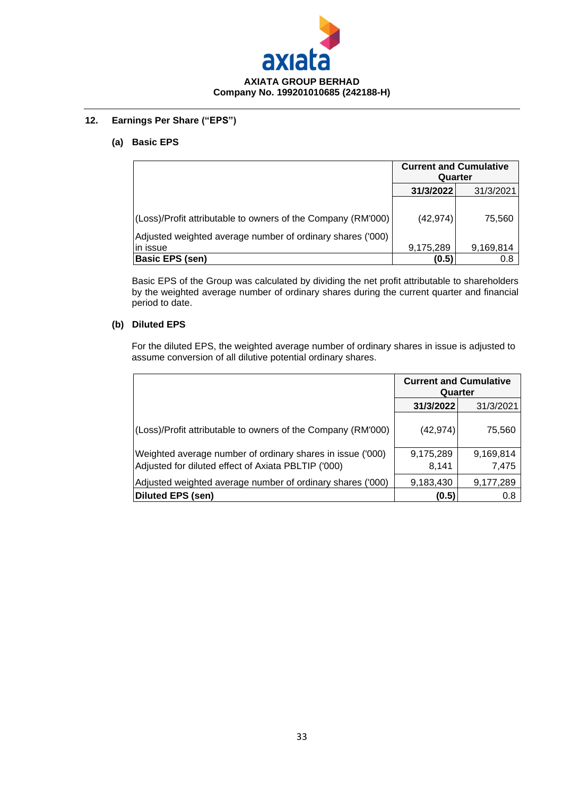

## **12. Earnings Per Share ("EPS")**

## **(a) Basic EPS**

|                                                                                                                            | <b>Current and Cumulative</b><br>Quarter |           |
|----------------------------------------------------------------------------------------------------------------------------|------------------------------------------|-----------|
|                                                                                                                            | 31/3/2022                                | 31/3/2021 |
| (Loss)/Profit attributable to owners of the Company (RM'000)<br>Adjusted weighted average number of ordinary shares ('000) | (42, 974)                                | 75,560    |
| in issue                                                                                                                   | 9,175,289                                | 9,169,814 |
| <b>Basic EPS (sen)</b>                                                                                                     | (0.5)                                    | 0.8       |

Basic EPS of the Group was calculated by dividing the net profit attributable to shareholders by the weighted average number of ordinary shares during the current quarter and financial period to date.

## **(b) Diluted EPS**

For the diluted EPS, the weighted average number of ordinary shares in issue is adjusted to assume conversion of all dilutive potential ordinary shares.

|                                                                                                                   | <b>Current and Cumulative</b><br>Quarter |                    |
|-------------------------------------------------------------------------------------------------------------------|------------------------------------------|--------------------|
|                                                                                                                   | 31/3/2022                                | 31/3/2021          |
| (Loss)/Profit attributable to owners of the Company (RM'000)                                                      | (42,974)                                 | 75,560             |
| Weighted average number of ordinary shares in issue ('000)<br>Adjusted for diluted effect of Axiata PBLTIP ('000) | 9,175,289<br>8,141                       | 9,169,814<br>7,475 |
| Adjusted weighted average number of ordinary shares ('000)                                                        | 9,183,430                                | 9,177,289          |
| Diluted EPS (sen)                                                                                                 | (0.5)                                    | 0.8                |